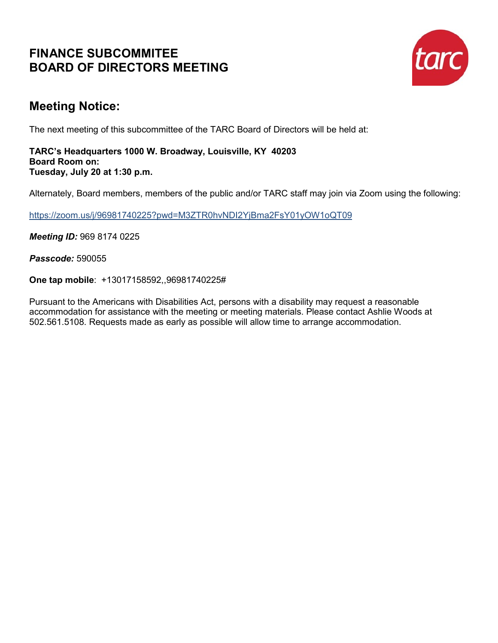## **FINANCE SUBCOMMITEE BOARD OF DIRECTORS MEETING**



## **Meeting Notice:**

The next meeting of this subcommittee of the TARC Board of Directors will be held at:

#### **TARC's Headquarters 1000 W. Broadway, Louisville, KY 40203 Board Room on: Tuesday, July 20 at 1:30 p.m.**

Alternately, Board members, members of the public and/or TARC staff may join via Zoom using the following:

<https://zoom.us/j/96981740225?pwd=M3ZTR0hvNDI2YjBma2FsY01yOW1oQT09>

*Meeting ID:* 969 8174 0225

*Passcode:* 590055

**One tap mobile**: +13017158592,,96981740225#

Pursuant to the Americans with Disabilities Act, persons with a disability may request a reasonable accommodation for assistance with the meeting or meeting materials. Please contact Ashlie Woods at 502.561.5108. Requests made as early as possible will allow time to arrange accommodation.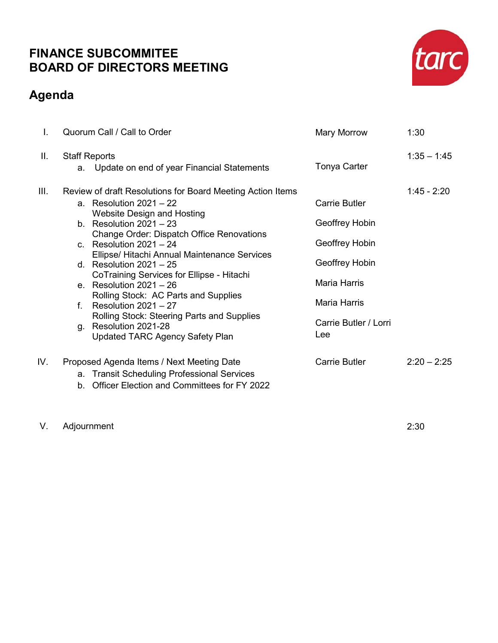## **FINANCE SUBCOMMITEE BOARD OF DIRECTORS MEETING**

## **Agenda**



V. Adjournment 2:30

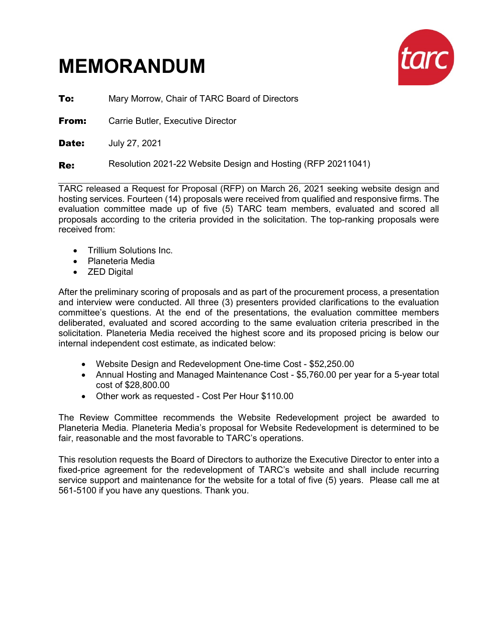# **MEMORANDUM**



**To:** Mary Morrow, Chair of TARC Board of Directors

**From:** Carrie Butler, Executive Director

**Date: July 27, 2021** 

Re: Resolution 2021-22 Website Design and Hosting (RFP 20211041)

TARC released a Request for Proposal (RFP) on March 26, 2021 seeking website design and hosting services. Fourteen (14) proposals were received from qualified and responsive firms. The evaluation committee made up of five (5) TARC team members, evaluated and scored all proposals according to the criteria provided in the solicitation. The top-ranking proposals were received from:

- Trillium Solutions Inc.
- Planeteria Media
- ZED Digital

After the preliminary scoring of proposals and as part of the procurement process, a presentation and interview were conducted. All three (3) presenters provided clarifications to the evaluation committee's questions. At the end of the presentations, the evaluation committee members deliberated, evaluated and scored according to the same evaluation criteria prescribed in the solicitation. Planeteria Media received the highest score and its proposed pricing is below our internal independent cost estimate, as indicated below:

- Website Design and Redevelopment One-time Cost \$52,250.00
- Annual Hosting and Managed Maintenance Cost \$5,760.00 per year for a 5-year total cost of \$28,800.00
- Other work as requested Cost Per Hour \$110.00

The Review Committee recommends the Website Redevelopment project be awarded to Planeteria Media. Planeteria Media's proposal for Website Redevelopment is determined to be fair, reasonable and the most favorable to TARC's operations.

This resolution requests the Board of Directors to authorize the Executive Director to enter into a fixed-price agreement for the redevelopment of TARC's website and shall include recurring service support and maintenance for the website for a total of five (5) years. Please call me at 561-5100 if you have any questions. Thank you.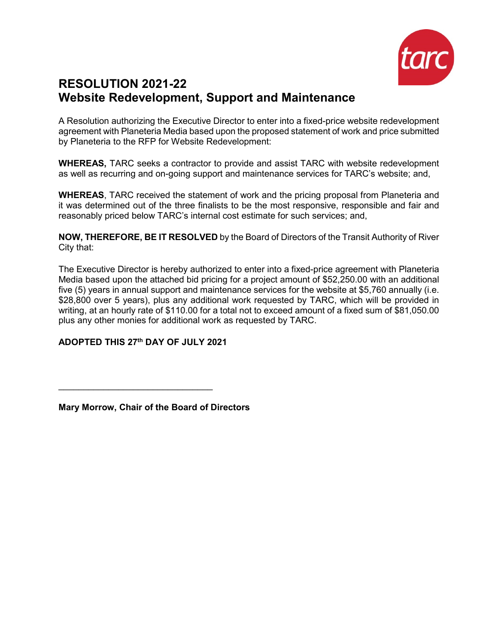

## **RESOLUTION 2021-22 Website Redevelopment, Support and Maintenance**

A Resolution authorizing the Executive Director to enter into a fixed-price website redevelopment agreement with Planeteria Media based upon the proposed statement of work and price submitted by Planeteria to the RFP for Website Redevelopment:

**WHEREAS,** TARC seeks a contractor to provide and assist TARC with website redevelopment as well as recurring and on-going support and maintenance services for TARC's website; and,

**WHEREAS**, TARC received the statement of work and the pricing proposal from Planeteria and it was determined out of the three finalists to be the most responsive, responsible and fair and reasonably priced below TARC's internal cost estimate for such services; and,

**NOW, THEREFORE, BE IT RESOLVED** by the Board of Directors of the Transit Authority of River City that:

The Executive Director is hereby authorized to enter into a fixed-price agreement with Planeteria Media based upon the attached bid pricing for a project amount of \$52,250.00 with an additional five (5) years in annual support and maintenance services for the website at \$5,760 annually (i.e. \$28,800 over 5 years), plus any additional work requested by TARC, which will be provided in writing, at an hourly rate of \$110.00 for a total not to exceed amount of a fixed sum of \$81,050.00 plus any other monies for additional work as requested by TARC.

#### **ADOPTED THIS 27th DAY OF JULY 2021**

 $\frac{1}{2}$  ,  $\frac{1}{2}$  ,  $\frac{1}{2}$  ,  $\frac{1}{2}$  ,  $\frac{1}{2}$  ,  $\frac{1}{2}$  ,  $\frac{1}{2}$  ,  $\frac{1}{2}$  ,  $\frac{1}{2}$  ,  $\frac{1}{2}$  ,  $\frac{1}{2}$  ,  $\frac{1}{2}$  ,  $\frac{1}{2}$  ,  $\frac{1}{2}$  ,  $\frac{1}{2}$  ,  $\frac{1}{2}$  ,  $\frac{1}{2}$  ,  $\frac{1}{2}$  ,  $\frac{1$ 

**Mary Morrow, Chair of the Board of Directors**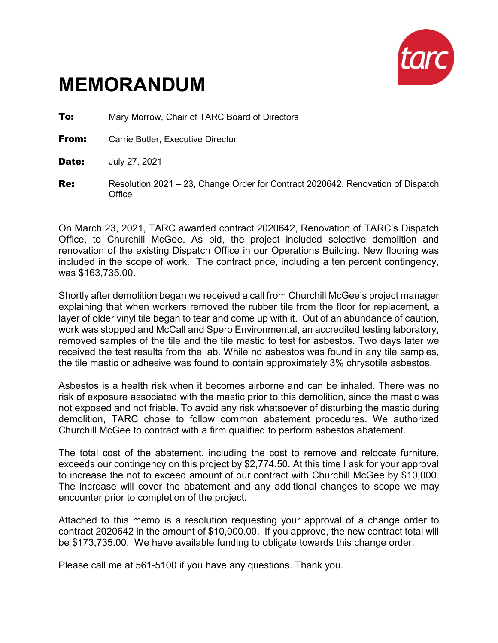

# **MEMORANDUM**

| To:   | Mary Morrow, Chair of TARC Board of Directors                                             |
|-------|-------------------------------------------------------------------------------------------|
| From: | Carrie Butler, Executive Director                                                         |
| Date: | July 27, 2021                                                                             |
| Re:   | Resolution 2021 – 23, Change Order for Contract 2020642, Renovation of Dispatch<br>Office |

On March 23, 2021, TARC awarded contract 2020642, Renovation of TARC's Dispatch Office, to Churchill McGee. As bid, the project included selective demolition and renovation of the existing Dispatch Office in our Operations Building. New flooring was included in the scope of work. The contract price, including a ten percent contingency, was \$163,735.00.

Shortly after demolition began we received a call from Churchill McGee's project manager explaining that when workers removed the rubber tile from the floor for replacement, a layer of older vinyl tile began to tear and come up with it. Out of an abundance of caution, work was stopped and McCall and Spero Environmental, an accredited testing laboratory, removed samples of the tile and the tile mastic to test for asbestos. Two days later we received the test results from the lab. While no asbestos was found in any tile samples, the tile mastic or adhesive was found to contain approximately 3% chrysotile asbestos.

Asbestos is a health risk when it becomes airborne and can be inhaled. There was no risk of exposure associated with the mastic prior to this demolition, since the mastic was not exposed and not friable. To avoid any risk whatsoever of disturbing the mastic during demolition, TARC chose to follow common abatement procedures. We authorized Churchill McGee to contract with a firm qualified to perform asbestos abatement.

The total cost of the abatement, including the cost to remove and relocate furniture, exceeds our contingency on this project by \$2,774.50. At this time I ask for your approval to increase the not to exceed amount of our contract with Churchill McGee by \$10,000. The increase will cover the abatement and any additional changes to scope we may encounter prior to completion of the project.

Attached to this memo is a resolution requesting your approval of a change order to contract 2020642 in the amount of \$10,000.00. If you approve, the new contract total will be \$173,735.00. We have available funding to obligate towards this change order.

Please call me at 561-5100 if you have any questions. Thank you.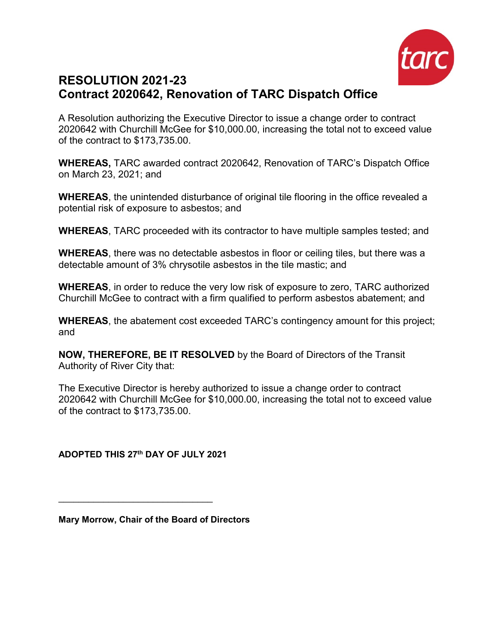

## **RESOLUTION 2021-23 Contract 2020642, Renovation of TARC Dispatch Office**

A Resolution authorizing the Executive Director to issue a change order to contract 2020642 with Churchill McGee for \$10,000.00, increasing the total not to exceed value of the contract to \$173,735.00.

**WHEREAS,** TARC awarded contract 2020642, Renovation of TARC's Dispatch Office on March 23, 2021; and

**WHEREAS**, the unintended disturbance of original tile flooring in the office revealed a potential risk of exposure to asbestos; and

**WHEREAS**, TARC proceeded with its contractor to have multiple samples tested; and

**WHEREAS**, there was no detectable asbestos in floor or ceiling tiles, but there was a detectable amount of 3% chrysotile asbestos in the tile mastic; and

**WHEREAS**, in order to reduce the very low risk of exposure to zero, TARC authorized Churchill McGee to contract with a firm qualified to perform asbestos abatement; and

**WHEREAS**, the abatement cost exceeded TARC's contingency amount for this project; and

**NOW, THEREFORE, BE IT RESOLVED** by the Board of Directors of the Transit Authority of River City that:

The Executive Director is hereby authorized to issue a change order to contract 2020642 with Churchill McGee for \$10,000.00, increasing the total not to exceed value of the contract to \$173,735.00.

**ADOPTED THIS 27th DAY OF JULY 2021**

 $\frac{1}{2}$  , and the set of the set of the set of the set of the set of the set of the set of the set of the set of the set of the set of the set of the set of the set of the set of the set of the set of the set of the set

**Mary Morrow, Chair of the Board of Directors**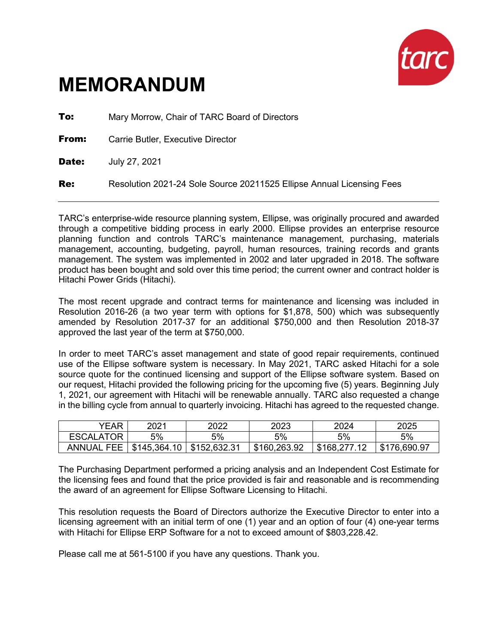

# **MEMORANDUM**

**To:** Mary Morrow, Chair of TARC Board of Directors **From:** Carrie Butler, Executive Director **Date: July 27, 2021 Re:** Resolution 2021-24 Sole Source 20211525 Ellipse Annual Licensing Fees

TARC's enterprise-wide resource planning system, Ellipse, was originally procured and awarded through a competitive bidding process in early 2000. Ellipse provides an enterprise resource planning function and controls TARC's maintenance management, purchasing, materials management, accounting, budgeting, payroll, human resources, training records and grants management. The system was implemented in 2002 and later upgraded in 2018. The software product has been bought and sold over this time period; the current owner and contract holder is Hitachi Power Grids (Hitachi).

The most recent upgrade and contract terms for maintenance and licensing was included in Resolution 2016-26 (a two year term with options for \$1,878, 500) which was subsequently amended by Resolution 2017-37 for an additional \$750,000 and then Resolution 2018-37 approved the last year of the term at \$750,000.

In order to meet TARC's asset management and state of good repair requirements, continued use of the Ellipse software system is necessary. In May 2021, TARC asked Hitachi for a sole source quote for the continued licensing and support of the Ellipse software system. Based on our request, Hitachi provided the following pricing for the upcoming five (5) years. Beginning July 1, 2021, our agreement with Hitachi will be renewable annually. TARC also requested a change in the billing cycle from annual to quarterly invoicing. Hitachi has agreed to the requested change.

| YEAR                   | 2021         | 2022         | 2023         | 2024         | 2025         |
|------------------------|--------------|--------------|--------------|--------------|--------------|
| <b>ESCALATOR</b>       | 5%           | 5%           | 5%           | 5%           | 5%           |
| . FEE<br><b>ANNUAL</b> | \$145,364.10 | \$152,632.31 | \$160,263.92 | \$168,277.12 | \$176,690.97 |

The Purchasing Department performed a pricing analysis and an Independent Cost Estimate for the licensing fees and found that the price provided is fair and reasonable and is recommending the award of an agreement for Ellipse Software Licensing to Hitachi.

This resolution requests the Board of Directors authorize the Executive Director to enter into a licensing agreement with an initial term of one (1) year and an option of four (4) one-year terms with Hitachi for Ellipse ERP Software for a not to exceed amount of \$803,228.42.

Please call me at 561-5100 if you have any questions. Thank you.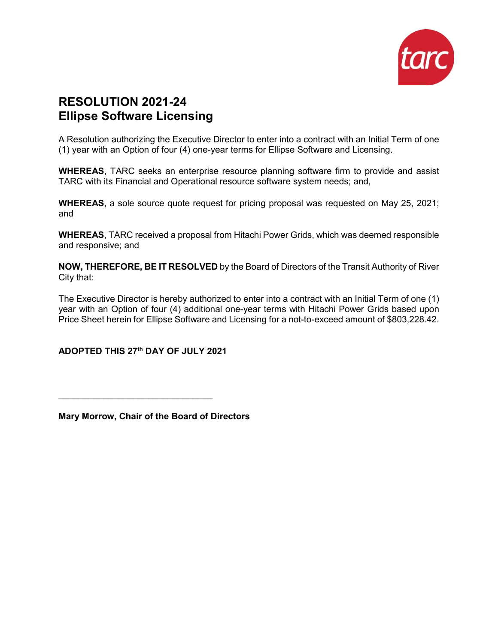

## **RESOLUTION 2021-24 Ellipse Software Licensing**

A Resolution authorizing the Executive Director to enter into a contract with an Initial Term of one (1) year with an Option of four (4) one-year terms for Ellipse Software and Licensing.

**WHEREAS,** TARC seeks an enterprise resource planning software firm to provide and assist TARC with its Financial and Operational resource software system needs; and,

**WHEREAS**, a sole source quote request for pricing proposal was requested on May 25, 2021; and

**WHEREAS**, TARC received a proposal from Hitachi Power Grids, which was deemed responsible and responsive; and

**NOW, THEREFORE, BE IT RESOLVED** by the Board of Directors of the Transit Authority of River City that:

The Executive Director is hereby authorized to enter into a contract with an Initial Term of one (1) year with an Option of four (4) additional one-year terms with Hitachi Power Grids based upon Price Sheet herein for Ellipse Software and Licensing for a not-to-exceed amount of \$803,228.42.

#### **ADOPTED THIS 27th DAY OF JULY 2021**

 $\frac{1}{2}$  , and the set of the set of the set of the set of the set of the set of the set of the set of the set of the set of the set of the set of the set of the set of the set of the set of the set of the set of the set

**Mary Morrow, Chair of the Board of Directors**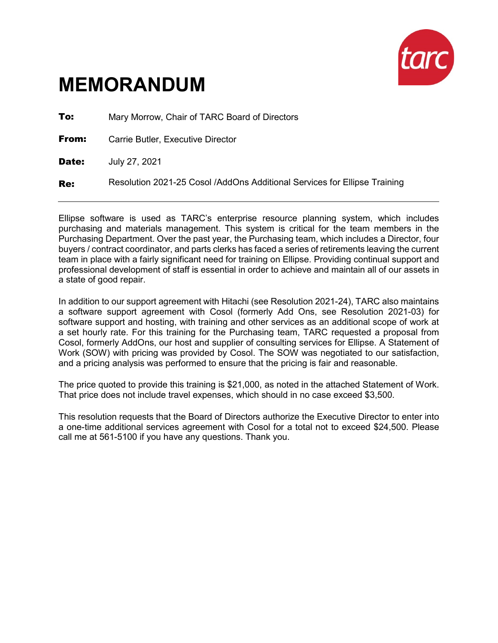

# **MEMORANDUM**

**To:** Mary Morrow, Chair of TARC Board of Directors **From:** Carrie Butler, Executive Director **Date: July 27, 2021** Re: Resolution 2021-25 Cosol /AddOns Additional Services for Ellipse Training

Ellipse software is used as TARC's enterprise resource planning system, which includes purchasing and materials management. This system is critical for the team members in the Purchasing Department. Over the past year, the Purchasing team, which includes a Director, four buyers / contract coordinator, and parts clerks has faced a series of retirements leaving the current team in place with a fairly significant need for training on Ellipse. Providing continual support and professional development of staff is essential in order to achieve and maintain all of our assets in a state of good repair.

In addition to our support agreement with Hitachi (see Resolution 2021-24), TARC also maintains a software support agreement with Cosol (formerly Add Ons, see Resolution 2021-03) for software support and hosting, with training and other services as an additional scope of work at a set hourly rate. For this training for the Purchasing team, TARC requested a proposal from Cosol, formerly AddOns, our host and supplier of consulting services for Ellipse. A Statement of Work (SOW) with pricing was provided by Cosol. The SOW was negotiated to our satisfaction, and a pricing analysis was performed to ensure that the pricing is fair and reasonable.

The price quoted to provide this training is \$21,000, as noted in the attached Statement of Work. That price does not include travel expenses, which should in no case exceed \$3,500.

This resolution requests that the Board of Directors authorize the Executive Director to enter into a one-time additional services agreement with Cosol for a total not to exceed \$24,500. Please call me at 561-5100 if you have any questions. Thank you.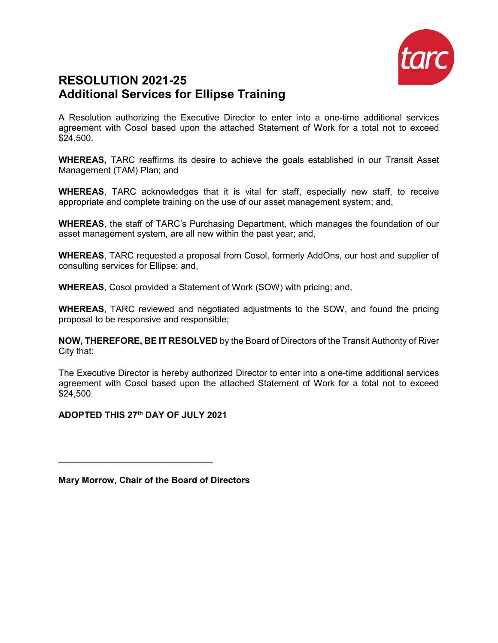

### **RESOLUTION 2021-25 Additional Services for Ellipse Training**

A Resolution authorizing the Executive Director to enter into a one-time additional services agreement with Cosol based upon the attached Statement of Work for a total not to exceed \$24,500.

**WHEREAS,** TARC reaffirms its desire to achieve the goals established in our Transit Asset Management (TAM) Plan; and

**WHEREAS**, TARC acknowledges that it is vital for staff, especially new staff, to receive appropriate and complete training on the use of our asset management system; and,

**WHEREAS**, the staff of TARC's Purchasing Department, which manages the foundation of our asset management system, are all new within the past year; and,

**WHEREAS**, TARC requested a proposal from Cosol, formerly AddOns, our host and supplier of consulting services for Ellipse; and,

**WHEREAS**, Cosol provided a Statement of Work (SOW) with pricing; and,

**WHEREAS**, TARC reviewed and negotiated adjustments to the SOW, and found the pricing proposal to be responsive and responsible;

**NOW, THEREFORE, BE IT RESOLVED** by the Board of Directors of the Transit Authority of River City that:

The Executive Director is hereby authorized Director to enter into a one-time additional services agreement with Cosol based upon the attached Statement of Work for a total not to exceed \$24,500.

**ADOPTED THIS 27th DAY OF JULY 2021**

 $\mathcal{L}_\text{max}$  , and the set of the set of the set of the set of the set of the set of the set of the set of the set of the set of the set of the set of the set of the set of the set of the set of the set of the set of the

**Mary Morrow, Chair of the Board of Directors**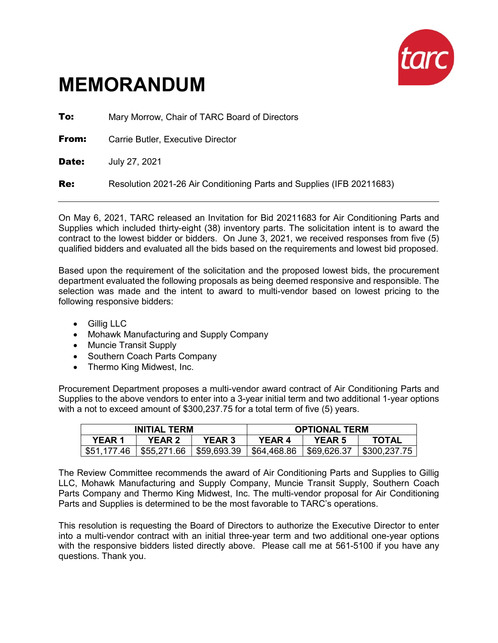

# **MEMORANDUM**

**To:** Mary Morrow, Chair of TARC Board of Directors **From:** Carrie Butler, Executive Director **Date: July 27, 2021 Re:** Resolution 2021-26 Air Conditioning Parts and Supplies (IFB 20211683)

On May 6, 2021, TARC released an Invitation for Bid 20211683 for Air Conditioning Parts and Supplies which included thirty-eight (38) inventory parts. The solicitation intent is to award the contract to the lowest bidder or bidders. On June 3, 2021, we received responses from five (5) qualified bidders and evaluated all the bids based on the requirements and lowest bid proposed.

Based upon the requirement of the solicitation and the proposed lowest bids, the procurement department evaluated the following proposals as being deemed responsive and responsible. The selection was made and the intent to award to multi-vendor based on lowest pricing to the following responsive bidders:

- Gillig LLC
- Mohawk Manufacturing and Supply Company
- Muncie Transit Supply
- Southern Coach Parts Company
- Thermo King Midwest, Inc.

Procurement Department proposes a multi-vendor award contract of Air Conditioning Parts and Supplies to the above vendors to enter into a 3-year initial term and two additional 1-year options with a not to exceed amount of \$300,237.75 for a total term of five (5) years.

|              | <b>INITIAL TERM</b> |                           |            | <b>OPTIONAL TERM</b> |              |
|--------------|---------------------|---------------------------|------------|----------------------|--------------|
| <b>YEAR1</b> | <b>YEAR 2</b>       | <b>YEAR 3</b>             | YEAR 4     | <b>YEAR 5</b>        | <b>TOTAL</b> |
| \$51,177.46  | \$55.271.66         | $\frac{1}{2}$ \$59,693.39 | 564,468.86 | \$69,626.37          | \$300.237.75 |

The Review Committee recommends the award of Air Conditioning Parts and Supplies to Gillig LLC, Mohawk Manufacturing and Supply Company, Muncie Transit Supply, Southern Coach Parts Company and Thermo King Midwest, Inc. The multi-vendor proposal for Air Conditioning Parts and Supplies is determined to be the most favorable to TARC's operations.

This resolution is requesting the Board of Directors to authorize the Executive Director to enter into a multi-vendor contract with an initial three-year term and two additional one-year options with the responsive bidders listed directly above. Please call me at 561-5100 if you have any questions. Thank you.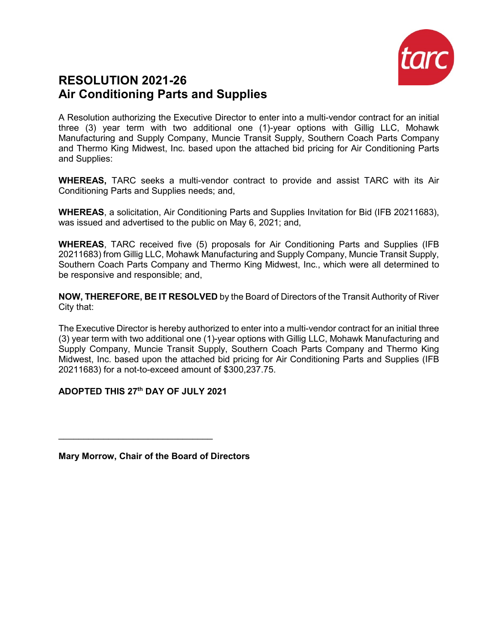

### **RESOLUTION 2021-26 Air Conditioning Parts and Supplies**

A Resolution authorizing the Executive Director to enter into a multi-vendor contract for an initial three (3) year term with two additional one (1)-year options with Gillig LLC, Mohawk Manufacturing and Supply Company, Muncie Transit Supply, Southern Coach Parts Company and Thermo King Midwest, Inc. based upon the attached bid pricing for Air Conditioning Parts and Supplies:

**WHEREAS,** TARC seeks a multi-vendor contract to provide and assist TARC with its Air Conditioning Parts and Supplies needs; and,

**WHEREAS**, a solicitation, Air Conditioning Parts and Supplies Invitation for Bid (IFB 20211683), was issued and advertised to the public on May 6, 2021; and,

**WHEREAS**, TARC received five (5) proposals for Air Conditioning Parts and Supplies (IFB 20211683) from Gillig LLC, Mohawk Manufacturing and Supply Company, Muncie Transit Supply, Southern Coach Parts Company and Thermo King Midwest, Inc., which were all determined to be responsive and responsible; and,

**NOW, THEREFORE, BE IT RESOLVED** by the Board of Directors of the Transit Authority of River City that:

The Executive Director is hereby authorized to enter into a multi-vendor contract for an initial three (3) year term with two additional one (1)-year options with Gillig LLC, Mohawk Manufacturing and Supply Company, Muncie Transit Supply, Southern Coach Parts Company and Thermo King Midwest, Inc. based upon the attached bid pricing for Air Conditioning Parts and Supplies (IFB 20211683) for a not-to-exceed amount of \$300,237.75.

#### **ADOPTED THIS 27th DAY OF JULY 2021**

 $\mathcal{L}_\text{max}$  , and the set of the set of the set of the set of the set of the set of the set of the set of the set of the set of the set of the set of the set of the set of the set of the set of the set of the set of the

**Mary Morrow, Chair of the Board of Directors**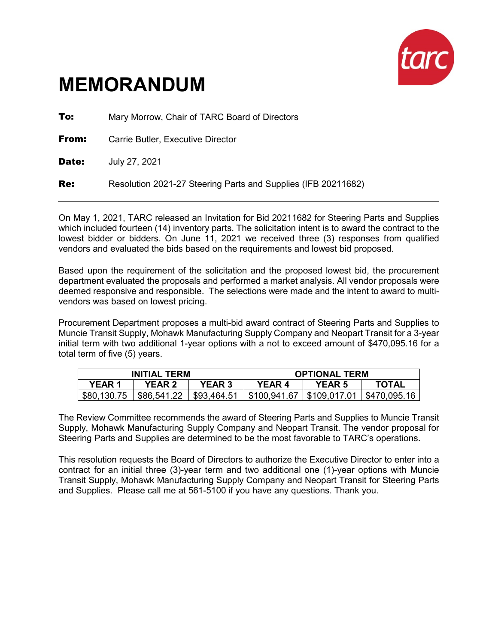

# **MEMORANDUM**

**To:** Mary Morrow, Chair of TARC Board of Directors **From:** Carrie Butler, Executive Director **Date: July 27, 2021** Re: Resolution 2021-27 Steering Parts and Supplies (IFB 20211682)

On May 1, 2021, TARC released an Invitation for Bid 20211682 for Steering Parts and Supplies which included fourteen (14) inventory parts. The solicitation intent is to award the contract to the lowest bidder or bidders. On June 11, 2021 we received three (3) responses from qualified vendors and evaluated the bids based on the requirements and lowest bid proposed.

Based upon the requirement of the solicitation and the proposed lowest bid, the procurement department evaluated the proposals and performed a market analysis. All vendor proposals were deemed responsive and responsible. The selections were made and the intent to award to multivendors was based on lowest pricing.

Procurement Department proposes a multi-bid award contract of Steering Parts and Supplies to Muncie Transit Supply, Mohawk Manufacturing Supply Company and Neopart Transit for a 3-year initial term with two additional 1-year options with a not to exceed amount of \$470,095.16 for a total term of five (5) years.

| <b>INITIAL TERM</b> |               |               |              | <b>OPTIONAL TERM</b> |              |
|---------------------|---------------|---------------|--------------|----------------------|--------------|
| YEAR 1              | <b>YEAR 2</b> | <b>YEAR 3</b> | YEAR 4       | <b>YEAR 5</b>        | <b>TOTAL</b> |
| \$80,130.75         | \$86,541.22   | \$93,464.51   | \$100,941.67 | l \$109.017.01       | \$470.095.16 |

The Review Committee recommends the award of Steering Parts and Supplies to Muncie Transit Supply, Mohawk Manufacturing Supply Company and Neopart Transit. The vendor proposal for Steering Parts and Supplies are determined to be the most favorable to TARC's operations.

This resolution requests the Board of Directors to authorize the Executive Director to enter into a contract for an initial three (3)-year term and two additional one (1)-year options with Muncie Transit Supply, Mohawk Manufacturing Supply Company and Neopart Transit for Steering Parts and Supplies. Please call me at 561-5100 if you have any questions. Thank you.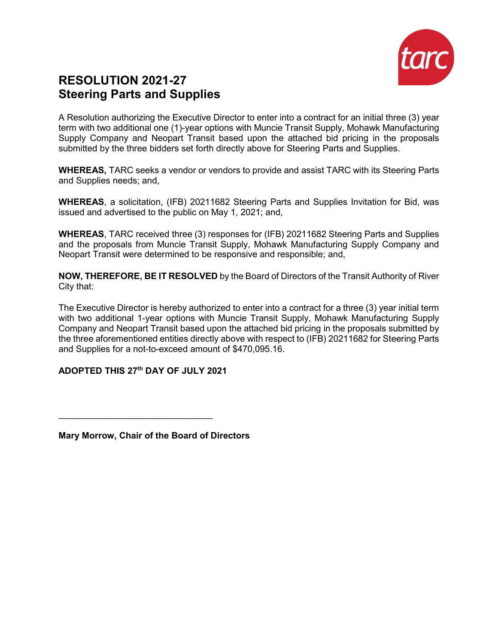

## **RESOLUTION 2021-27 Steering Parts and Supplies**

A Resolution authorizing the Executive Director to enter into a contract for an initial three (3) year term with two additional one (1)-year options with Muncie Transit Supply, Mohawk Manufacturing Supply Company and Neopart Transit based upon the attached bid pricing in the proposals submitted by the three bidders set forth directly above for Steering Parts and Supplies.

**WHEREAS,** TARC seeks a vendor or vendors to provide and assist TARC with its Steering Parts and Supplies needs; and,

**WHEREAS**, a solicitation, (IFB) 20211682 Steering Parts and Supplies Invitation for Bid, was issued and advertised to the public on May 1, 2021; and,

**WHEREAS**, TARC received three (3) responses for (IFB) 20211682 Steering Parts and Supplies and the proposals from Muncie Transit Supply, Mohawk Manufacturing Supply Company and Neopart Transit were determined to be responsive and responsible; and,

**NOW, THEREFORE, BE IT RESOLVED** by the Board of Directors of the Transit Authority of River City that:

The Executive Director is hereby authorized to enter into a contract for a three (3) year initial term with two additional 1-year options with Muncie Transit Supply, Mohawk Manufacturing Supply Company and Neopart Transit based upon the attached bid pricing in the proposals submitted by the three aforementioned entities directly above with respect to (IFB) 20211682 for Steering Parts and Supplies for a not-to-exceed amount of \$470,095.16.

#### **ADOPTED THIS 27th DAY OF JULY 2021**

 $\overline{\phantom{a}}$  , where  $\overline{\phantom{a}}$  , where  $\overline{\phantom{a}}$  , where  $\overline{\phantom{a}}$  , where  $\overline{\phantom{a}}$ 

**Mary Morrow, Chair of the Board of Directors**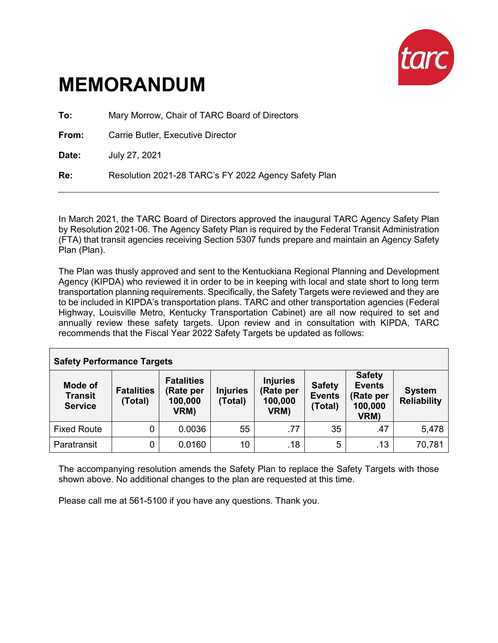

# **MEMORANDUM**

**To:** Mary Morrow, Chair of TARC Board of Directors

**From:** Carrie Butler, Executive Director

**Date:** July 27, 2021

**Re:** Resolution 2021-28 TARC's FY 2022 Agency Safety Plan

In March 2021, the TARC Board of Directors approved the inaugural TARC Agency Safety Plan by Resolution 2021-06. The Agency Safety Plan is required by the Federal Transit Administration (FTA) that transit agencies receiving Section 5307 funds prepare and maintain an Agency Safety Plan (Plan).

The Plan was thusly approved and sent to the Kentuckiana Regional Planning and Development Agency (KIPDA) who reviewed it in order to be in keeping with local and state short to long term transportation planning requirements. Specifically, the Safety Targets were reviewed and they are to be included in KIPDA's transportation plans. TARC and other transportation agencies (Federal Highway, Louisville Metro, Kentucky Transportation Cabinet) are all now required to set and annually review these safety targets. Upon review and in consultation with KIPDA, TARC recommends that the Fiscal Year 2022 Safety Targets be updated as follows:

| <b>Safety Performance Targets</b>           |                              |                                                   |                            |                                                 |                                           |                                                                |                                     |
|---------------------------------------------|------------------------------|---------------------------------------------------|----------------------------|-------------------------------------------------|-------------------------------------------|----------------------------------------------------------------|-------------------------------------|
| Mode of<br><b>Transit</b><br><b>Service</b> | <b>Fatalities</b><br>(Total) | <b>Fatalities</b><br>(Rate per<br>100,000<br>VRM) | <b>Injuries</b><br>(Total) | <b>Injuries</b><br>(Rate per<br>100,000<br>VRM) | <b>Safety</b><br><b>Events</b><br>(Total) | <b>Safety</b><br><b>Events</b><br>(Rate per<br>100,000<br>VRM) | <b>System</b><br><b>Reliability</b> |
| <b>Fixed Route</b>                          | $\overline{0}$               | 0.0036                                            | 55                         | .77                                             | 35                                        | .47                                                            | 5,478                               |
| Paratransit                                 | 0                            | 0.0160                                            | 10                         | .18                                             | 5                                         | .13                                                            | 70,781                              |

The accompanying resolution amends the Safety Plan to replace the Safety Targets with those shown above. No additional changes to the plan are requested at this time.

Please call me at 561-5100 if you have any questions. Thank you.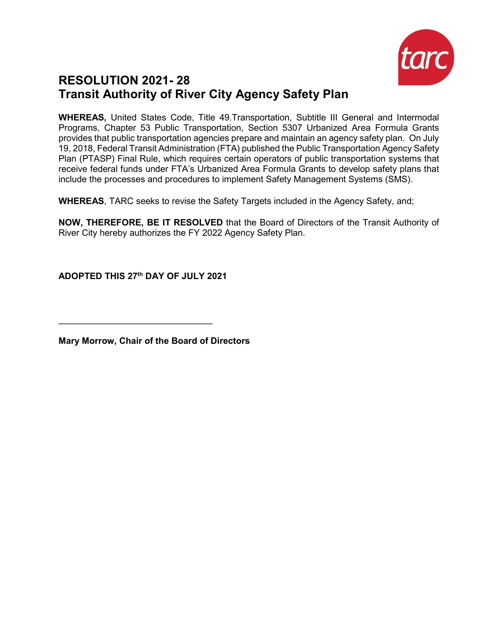

## **RESOLUTION 2021- 28 Transit Authority of River City Agency Safety Plan**

**WHEREAS,** United States Code, Title 49.Transportation, Subtitle III General and Intermodal Programs, Chapter 53 Public Transportation, Section 5307 Urbanized Area Formula Grants provides that public transportation agencies prepare and maintain an agency safety plan. On July 19, 2018, Federal Transit Administration (FTA) published the Public Transportation Agency Safety Plan (PTASP) Final Rule, which requires certain operators of public transportation systems that receive federal funds under FTA's Urbanized Area Formula Grants to develop safety plans that include the processes and procedures to implement Safety Management Systems (SMS).

**WHEREAS**, TARC seeks to revise the Safety Targets included in the Agency Safety, and;

**NOW, THEREFORE, BE IT RESOLVED** that the Board of Directors of the Transit Authority of River City hereby authorizes the FY 2022 Agency Safety Plan.

**ADOPTED THIS 27th DAY OF JULY 2021**

 $\mathcal{L}_\text{max}$  , and the set of the set of the set of the set of the set of the set of the set of the set of the set of the set of the set of the set of the set of the set of the set of the set of the set of the set of the

**Mary Morrow, Chair of the Board of Directors**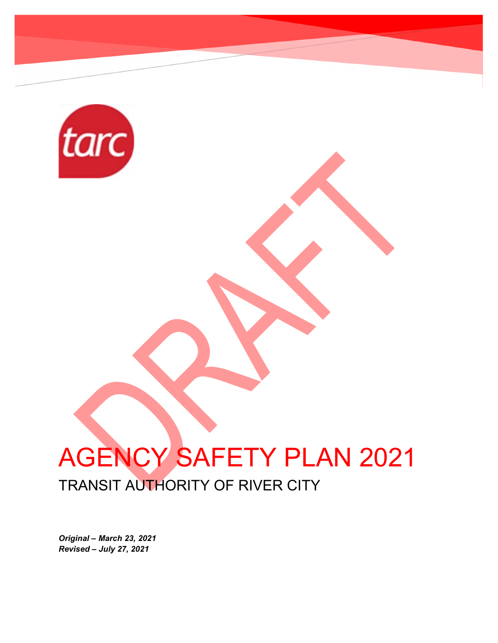

# AGENCY SAFETY PLAN 2021 TRANSIT AUTHORITY OF RIVER CITY

*Original – March 23, 2021 Revised – July 27, 2021*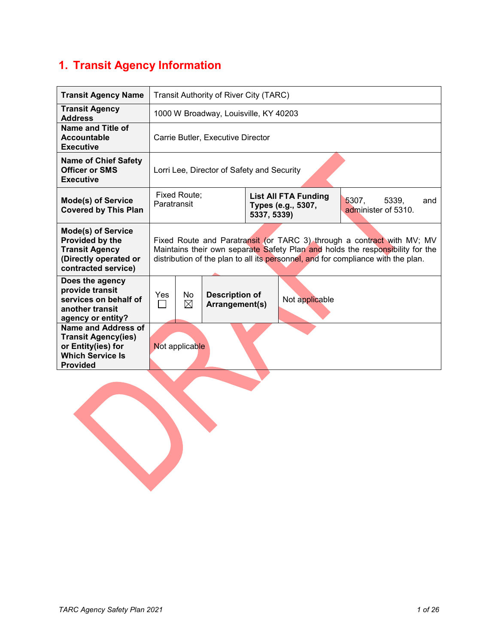## **1. Transit Agency Information**

| <b>Transit Agency Name</b>                                                                                                   | Transit Authority of River City (TARC)                                                                                                                                                                                                      |  |  |  |  |
|------------------------------------------------------------------------------------------------------------------------------|---------------------------------------------------------------------------------------------------------------------------------------------------------------------------------------------------------------------------------------------|--|--|--|--|
| <b>Transit Agency</b><br><b>Address</b>                                                                                      | 1000 W Broadway, Louisville, KY 40203                                                                                                                                                                                                       |  |  |  |  |
| Name and Title of<br><b>Accountable</b><br><b>Executive</b>                                                                  | Carrie Butler, Executive Director                                                                                                                                                                                                           |  |  |  |  |
| <b>Name of Chief Safety</b><br><b>Officer or SMS</b><br><b>Executive</b>                                                     | Lorri Lee, Director of Safety and Security                                                                                                                                                                                                  |  |  |  |  |
| <b>Mode(s) of Service</b><br><b>Covered by This Plan</b>                                                                     | Fixed Route;<br><b>List All FTA Funding</b><br>5307,<br>5339,<br>and<br>Paratransit<br>Types (e.g., 5307,<br>administer of 5310.<br>5337, 5339)                                                                                             |  |  |  |  |
| <b>Mode(s) of Service</b><br>Provided by the<br><b>Transit Agency</b><br>(Directly operated or<br>contracted service)        | Fixed Route and Paratransit (or TARC 3) through a contract with MV; MV<br>Maintains their own separate Safety Plan and holds the responsibility for the<br>distribution of the plan to all its personnel, and for compliance with the plan. |  |  |  |  |
| Does the agency<br>provide transit<br>services on behalf of<br>another transit<br>agency or entity?                          | No<br>Yes<br><b>Description of</b><br>Not applicable<br>$\boxtimes$<br>Arrangement(s)<br>$\blacksquare$                                                                                                                                     |  |  |  |  |
| <b>Name and Address of</b><br><b>Transit Agency(ies)</b><br>or Entity(ies) for<br><b>Which Service Is</b><br><b>Provided</b> | Not applicable                                                                                                                                                                                                                              |  |  |  |  |
|                                                                                                                              |                                                                                                                                                                                                                                             |  |  |  |  |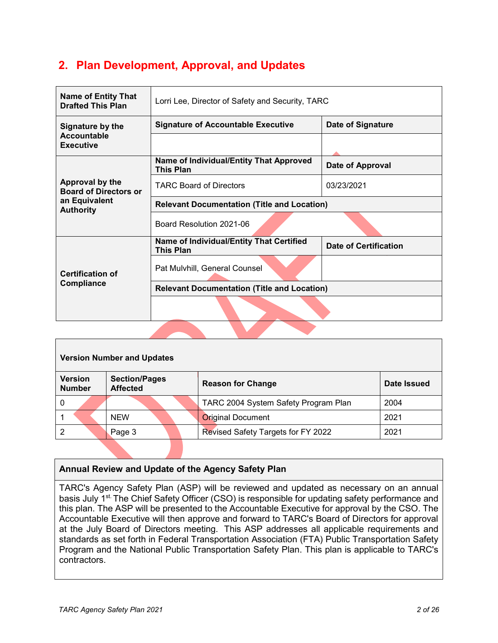### **2. Plan Development, Approval, and Updates**

| <b>Name of Entity That</b><br><b>Drafted This Plan</b> | Lorri Lee, Director of Safety and Security, TARC             |                              |  |  |  |  |
|--------------------------------------------------------|--------------------------------------------------------------|------------------------------|--|--|--|--|
| Signature by the                                       | <b>Signature of Accountable Executive</b>                    | <b>Date of Signature</b>     |  |  |  |  |
| <b>Accountable</b><br><b>Executive</b>                 |                                                              |                              |  |  |  |  |
|                                                        | Name of Individual/Entity That Approved<br><b>This Plan</b>  | Date of Approval             |  |  |  |  |
| Approval by the<br><b>Board of Directors or</b>        | <b>TARC Board of Directors</b>                               | 03/23/2021                   |  |  |  |  |
| an Equivalent<br><b>Authority</b>                      | <b>Relevant Documentation (Title and Location)</b>           |                              |  |  |  |  |
|                                                        | Board Resolution 2021-06                                     |                              |  |  |  |  |
|                                                        | Name of Individual/Entity That Certified<br><b>This Plan</b> | <b>Date of Certification</b> |  |  |  |  |
| <b>Certification of</b>                                | Pat Mulvhill, General Counsel                                |                              |  |  |  |  |
| <b>Compliance</b>                                      | <b>Relevant Documentation (Title and Location)</b>           |                              |  |  |  |  |
|                                                        |                                                              |                              |  |  |  |  |
|                                                        |                                                              |                              |  |  |  |  |

| <b>Version Number and Updates</b> |                                         |                                      |             |  |  |  |
|-----------------------------------|-----------------------------------------|--------------------------------------|-------------|--|--|--|
| <b>Version</b><br><b>Number</b>   | <b>Section/Pages</b><br><b>Affected</b> | <b>Reason for Change</b>             | Date Issued |  |  |  |
| 0                                 |                                         | TARC 2004 System Safety Program Plan | 2004        |  |  |  |
|                                   | <b>NEW</b>                              | <b>Original Document</b>             | 2021        |  |  |  |
| 2                                 | Page 3                                  | Revised Safety Targets for FY 2022   | 2021        |  |  |  |

#### **Annual Review and Update of the Agency Safety Plan**

TARC's Agency Safety Plan (ASP) will be reviewed and updated as necessary on an annual basis July 1<sup>st.</sup> The Chief Safety Officer (CSO) is responsible for updating safety performance and this plan. The ASP will be presented to the Accountable Executive for approval by the CSO. The Accountable Executive will then approve and forward to TARC's Board of Directors for approval at the July Board of Directors meeting. This ASP addresses all applicable requirements and standards as set forth in Federal Transportation Association (FTA) Public Transportation Safety Program and the National Public Transportation Safety Plan. This plan is applicable to TARC's contractors.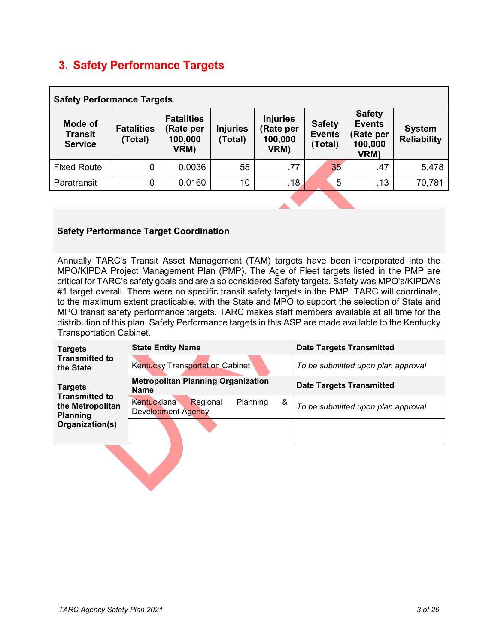## **3. Safety Performance Targets**

| <b>Safety Performance Targets</b>           |                              |                                                   |                            |                                                 |                                           |                                                                |                                     |
|---------------------------------------------|------------------------------|---------------------------------------------------|----------------------------|-------------------------------------------------|-------------------------------------------|----------------------------------------------------------------|-------------------------------------|
| Mode of<br><b>Transit</b><br><b>Service</b> | <b>Fatalities</b><br>(Total) | <b>Fatalities</b><br>(Rate per<br>100,000<br>VRM) | <b>Injuries</b><br>(Total) | <b>Injuries</b><br>(Rate per<br>100,000<br>VRM) | <b>Safety</b><br><b>Events</b><br>(Total) | <b>Safety</b><br><b>Events</b><br>(Rate per<br>100,000<br>VRM) | <b>System</b><br><b>Reliability</b> |
| <b>Fixed Route</b>                          | $\mathbf{0}$                 | 0.0036                                            | 55                         | .77                                             | 35                                        | .47                                                            | 5,478                               |
| Paratransit                                 | $\mathbf 0$                  | 0.0160                                            | 10                         | .18                                             |                                           | 5<br>.13                                                       | 70,781                              |
|                                             |                              |                                                   |                            |                                                 |                                           |                                                                |                                     |

#### **Safety Performance Target Coordination**

Annually TARC's Transit Asset Management (TAM) targets have been incorporated into the MPO/KIPDA Project Management Plan (PMP). The Age of Fleet targets listed in the PMP are critical for TARC's safety goals and are also considered Safety targets. Safety was MPO's/KIPDA's #1 target overall. There were no specific transit safety targets in the PMP. TARC will coordinate, to the maximum extent practicable, with the State and MPO to support the selection of State and MPO transit safety performance targets. TARC makes staff members available at all time for the distribution of this plan. Safety Performance targets in this ASP are made available to the Kentucky Transportation Cabinet.

| <b>Targets</b>                                               | <b>State Entity Name</b>                                                     | <b>Date Targets Transmitted</b>    |
|--------------------------------------------------------------|------------------------------------------------------------------------------|------------------------------------|
| <b>Transmitted to</b><br>the State                           | <b>Kentucky Transportation Cabinet</b>                                       | To be submitted upon plan approval |
| <b>Targets</b>                                               | <b>Metropolitan Planning Organization</b><br><b>Name</b>                     | <b>Date Targets Transmitted</b>    |
| <b>Transmitted to</b><br>the Metropolitan<br><b>Planning</b> | <b>Kentuckiana</b><br>&<br>Planning<br>Regional<br><b>Development Agency</b> | To be submitted upon plan approval |
| Organization(s)                                              |                                                                              |                                    |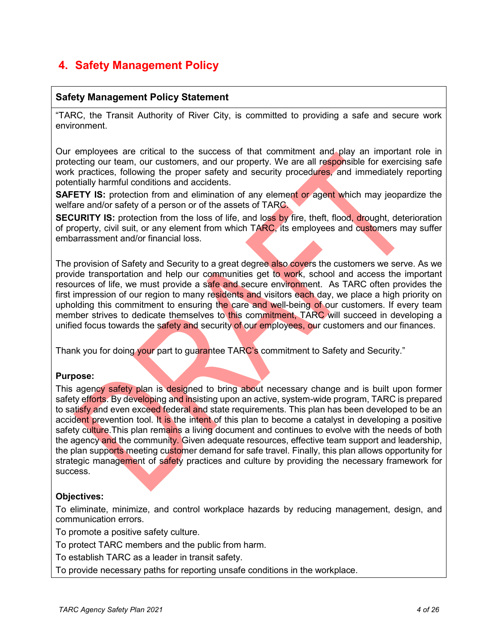### **4. Safety Management Policy**

#### **Safety Management Policy Statement**

"TARC, the Transit Authority of River City, is committed to providing a safe and secure work environment.

Our employees are critical to the success of that commitment and play an important role in protecting our team, our customers, and our property. We are all responsible for exercising safe work practices, following the proper safety and security procedures, and immediately reporting potentially harmful conditions and accidents.

**SAFETY IS:** protection from and elimination of any element or agent which may jeopardize the welfare and/or safety of a person or of the assets of TARC.

**SECURITY IS:** protection from the loss of life, and loss by fire, theft, flood, drought, deterioration of property, civil suit, or any element from which TARC, its employees and customers may suffer embarrassment and/or financial loss.

The provision of Safety and Security to a great degree also covers the customers we serve. As we provide transportation and help our communities get to work, school and access the important resources of life, we must provide a safe and secure environment. As TARC often provides the first impression of our region to many residents and visitors each day, we place a high priority on upholding this commitment to ensuring the care and well-being of our customers. If every team member strives to dedicate themselves to this commitment, TARC will succeed in developing a unified focus towards the safety and security of our employees, our customers and our finances.

Thank you for doing your part to guarantee TARC's commitment to Safety and Security."

#### **Purpose:**

This agency safety plan is designed to bring about necessary change and is built upon former safety efforts. By developing and insisting upon an active, system-wide program, TARC is prepared to satisfy and even exceed federal and state requirements. This plan has been developed to be an accident prevention tool. It is the intent of this plan to become a catalyst in developing a positive safety culture.This plan remains a living document and continues to evolve with the needs of both the agency and the community. Given adequate resources, effective team support and leadership, the plan supports meeting customer demand for safe travel. Finally, this plan allows opportunity for strategic management of safety practices and culture by providing the necessary framework for success.

#### **Objectives:**

To eliminate, minimize, and control workplace hazards by reducing management, design, and communication errors.

To promote a positive safety culture.

To protect TARC members and the public from harm.

To establish TARC as a leader in transit safety.

To provide necessary paths for reporting unsafe conditions in the workplace.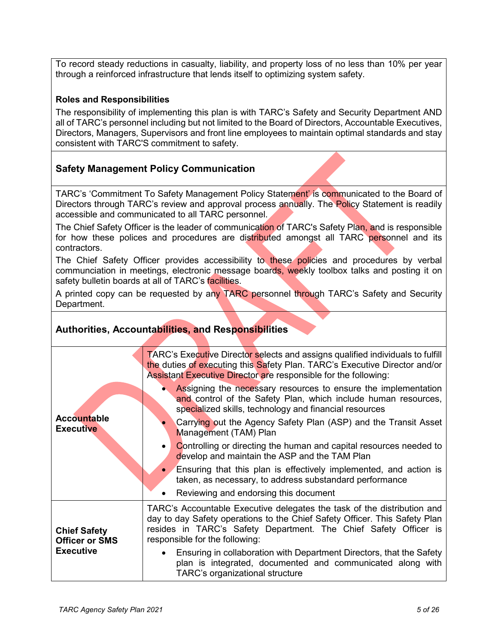To record steady reductions in casualty, liability, and property loss of no less than 10% per year through a reinforced infrastructure that lends itself to optimizing system safety.

#### **Roles and Responsibilities**

The responsibility of implementing this plan is with TARC's Safety and Security Department AND all of TARC's personnel including but not limited to the Board of Directors, Accountable Executives, Directors, Managers, Supervisors and front line employees to maintain optimal standards and stay consistent with TARC'S commitment to safety.

#### **Safety Management Policy Communication**

TARC's 'Commitment To Safety Management Policy Statement' is communicated to the Board of Directors through TARC's review and approval process annually. The Policy Statement is readily accessible and communicated to all TARC personnel.

The Chief Safety Officer is the leader of communication of TARC's Safety Plan, and is responsible for how these polices and procedures are distributed amongst all TARC personnel and its contractors.

The Chief Safety Officer provides accessibility to these policies and procedures by verbal communciation in meetings, electronic message boards, weekly toolbox talks and posting it on safety bulletin boards at all of TARC's facilities.

A printed copy can be requested by any TARC personnel through TARC's Safety and Security Department.

#### **Authorities, Accountabilities, and Responsibilities**

|                                              | TARC's Executive Director selects and assigns qualified individuals to fulfill<br>the duties of executing this Safety Plan. TARC's Executive Director and/or<br>Assistant Executive Director are responsible for the following:                             |
|----------------------------------------------|-------------------------------------------------------------------------------------------------------------------------------------------------------------------------------------------------------------------------------------------------------------|
|                                              | Assigning the necessary resources to ensure the implementation<br>and control of the Safety Plan, which include human resources,<br>specialized skills, technology and financial resources                                                                  |
| <b>Accountable</b><br><b>Executive</b>       | Carrying out the Agency Safety Plan (ASP) and the Transit Asset<br>Management (TAM) Plan                                                                                                                                                                    |
|                                              | Controlling or directing the human and capital resources needed to<br>develop and maintain the ASP and the TAM Plan                                                                                                                                         |
|                                              | • Ensuring that this plan is effectively implemented, and action is<br>taken, as necessary, to address substandard performance                                                                                                                              |
|                                              | Reviewing and endorsing this document                                                                                                                                                                                                                       |
| <b>Chief Safety</b><br><b>Officer or SMS</b> | TARC's Accountable Executive delegates the task of the distribution and<br>day to day Safety operations to the Chief Safety Officer. This Safety Plan<br>resides in TARC's Safety Department. The Chief Safety Officer is<br>responsible for the following: |
| <b>Executive</b>                             | Ensuring in collaboration with Department Directors, that the Safety<br>plan is integrated, documented and communicated along with<br>TARC's organizational structure                                                                                       |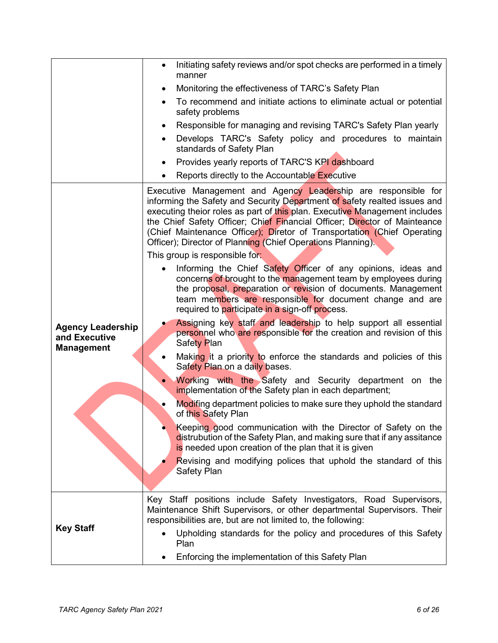|                                                                | Initiating safety reviews and/or spot checks are performed in a timely<br>$\bullet$<br>manner                                                                                                                                                                                                                                                                                                                                                    |
|----------------------------------------------------------------|--------------------------------------------------------------------------------------------------------------------------------------------------------------------------------------------------------------------------------------------------------------------------------------------------------------------------------------------------------------------------------------------------------------------------------------------------|
|                                                                | Monitoring the effectiveness of TARC's Safety Plan                                                                                                                                                                                                                                                                                                                                                                                               |
|                                                                | To recommend and initiate actions to eliminate actual or potential<br>safety problems                                                                                                                                                                                                                                                                                                                                                            |
|                                                                | Responsible for managing and revising TARC's Safety Plan yearly<br>$\bullet$                                                                                                                                                                                                                                                                                                                                                                     |
|                                                                | Develops TARC's Safety policy and procedures to maintain<br>$\bullet$<br>standards of Safety Plan                                                                                                                                                                                                                                                                                                                                                |
|                                                                | Provides yearly reports of TARC'S KPI dashboard<br>$\bullet$                                                                                                                                                                                                                                                                                                                                                                                     |
|                                                                | Reports directly to the Accountable Executive                                                                                                                                                                                                                                                                                                                                                                                                    |
|                                                                | Executive Management and Agency Leadership are responsible for<br>informing the Safety and Security Department of safety realted issues and<br>executing theior roles as part of this plan. Executive Management includes<br>the Chief Safety Officer; Chief Financial Officer; Director of Mainteance<br>(Chief Maintenance Officer); Diretor of Transportation (Chief Operating<br>Officer); Director of Planning (Chief Operations Planning). |
|                                                                | This group is responsible for:                                                                                                                                                                                                                                                                                                                                                                                                                   |
|                                                                | Informing the Chief Safety Officer of any opinions, ideas and<br>concerns of brought to the management team by employees during<br>the proposal, preparation or revision of documents. Management<br>team members are responsible for document change and are<br>required to participate in a sign-off process.                                                                                                                                  |
| <b>Agency Leadership</b><br>and Executive<br><b>Management</b> | Assigning key staff and leadership to help support all essential<br>personnel who are responsible for the creation and revision of this<br><b>Safety Plan</b>                                                                                                                                                                                                                                                                                    |
|                                                                | Making it a priority to enforce the standards and policies of this<br>Safety Plan on a daily bases.                                                                                                                                                                                                                                                                                                                                              |
|                                                                | Working with the Safety and Security department on the<br>implementation of the Safety plan in each department;                                                                                                                                                                                                                                                                                                                                  |
|                                                                | Modifing department policies to make sure they uphold the standard<br>of this Safety Plan                                                                                                                                                                                                                                                                                                                                                        |
|                                                                | Keeping good communication with the Director of Safety on the<br>distrubution of the Safety Plan, and making sure that if any assitance<br>is needed upon creation of the plan that it is given                                                                                                                                                                                                                                                  |
|                                                                | Revising and modifying polices that uphold the standard of this<br>Safety Plan                                                                                                                                                                                                                                                                                                                                                                   |
|                                                                | Key Staff positions include Safety Investigators, Road Supervisors,<br>Maintenance Shift Supervisors, or other departmental Supervisors. Their<br>responsibilities are, but are not limited to, the following:                                                                                                                                                                                                                                   |
| <b>Key Staff</b>                                               | Upholding standards for the policy and procedures of this Safety<br>Plan                                                                                                                                                                                                                                                                                                                                                                         |
|                                                                | Enforcing the implementation of this Safety Plan                                                                                                                                                                                                                                                                                                                                                                                                 |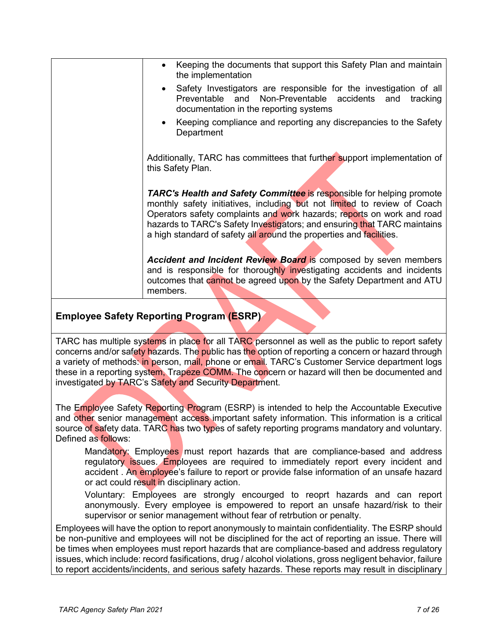| Keeping the documents that support this Safety Plan and maintain<br>the implementation                                                                                                                                                                                                                                                                                                |
|---------------------------------------------------------------------------------------------------------------------------------------------------------------------------------------------------------------------------------------------------------------------------------------------------------------------------------------------------------------------------------------|
| Safety Investigators are responsible for the investigation of all<br>Preventable and Non-Preventable accidents and<br>tracking<br>documentation in the reporting systems                                                                                                                                                                                                              |
| Keeping compliance and reporting any discrepancies to the Safety<br>Department                                                                                                                                                                                                                                                                                                        |
| Additionally, TARC has committees that further support implementation of<br>this Safety Plan.                                                                                                                                                                                                                                                                                         |
| <b>TARC's Health and Safety Committee is responsible for helping promote</b><br>monthly safety initiatives, including but not limited to review of Coach<br>Operators safety complaints and work hazards; reports on work and road<br>hazards to TARC's Safety Investigators; and ensuring that TARC maintains<br>a high standard of safety all around the properties and facilities. |
| <b>Accident and Incident Review Board is composed by seven members</b><br>and is responsible for thoroughly investigating accidents and incidents<br>outcomes that cannot be agreed upon by the Safety Department and ATU<br>members.                                                                                                                                                 |

#### **Employee Safety Reporting Program (ESRP)**

TARC has multiple systems in place for all TARC personnel as well as the public to report safety concerns and/or safety hazards. The public has the option of reporting a concern or hazard through a variety of methods: in person, mail, phone or email. TARC's Customer Service department logs these in a reporting system, Trapeze COMM. The concern or hazard will then be documented and investigated by TARC's Safety and Security Department.

The Employee Safety Reporting Program (ESRP) is intended to help the Accountable Executive and other senior management access important safety information. This information is a critical source of safety data. TARC has two types of safety reporting programs mandatory and voluntary. Defined as follows:

Mandatory: Employees must report hazards that are compliance-based and address regulatory issues. Employees are required to immediately report every incident and accident . An employee's failure to report or provide false information of an unsafe hazard or act could result in disciplinary action.

Voluntary: Employees are strongly encourged to reoprt hazards and can report anonymously. Every employee is empowered to report an unsafe hazard/risk to their supervisor or senior management without fear of retrbution or penalty.

Employees will have the option to report anonymously to maintain confidentiality. The ESRP should be non-punitive and employees will not be disciplined for the act of reporting an issue. There will be times when employees must report hazards that are compliance-based and address regulatory issues, which include: record fasifications, drug / alcohol violations, gross negligent behavior, failure to report accidents/incidents, and serious safety hazards. These reports may result in disciplinary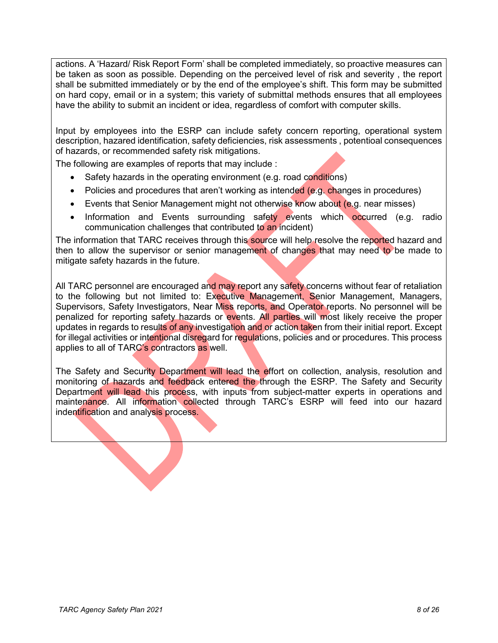actions. A 'Hazard/ Risk Report Form' shall be completed immediately, so proactive measures can be taken as soon as possible. Depending on the perceived level of risk and severity , the report shall be submitted immediately or by the end of the employee's shift. This form may be submitted on hard copy, email or in a system; this variety of submittal methods ensures that all employees have the ability to submit an incident or idea, regardless of comfort with computer skills.

Input by employees into the ESRP can include safety concern reporting, operational system description, hazared identification, safety deficiencies, risk assessments , potentioal consequences of hazards, or recommended safety risk mitigations.

The following are examples of reports that may include :

- Safety hazards in the operating environment (e.g. road conditions)
- Policies and procedures that aren't working as intended (e.g. changes in procedures)
- Events that Senior Management might not otherwise know about (e.g. near misses)
- Information and Events surrounding safety events which occurred (e.g. radio communication challenges that contributed to an incident)

The information that TARC receives through this source will help resolve the reported hazard and then to allow the supervisor or senior management of changes that may need to be made to mitigate safety hazards in the future.

All TARC personnel are encouraged and may report any safety concerns without fear of retaliation to the following but not limited to: Executive Management, Senior Management, Managers, Supervisors, Safety Investigators, Near Miss reports, and Operator reports. No personnel will be penalized for reporting safety hazards or events. All parties will most likely receive the proper updates in regards to results of any investigation and or action taken from their initial report. Except for illegal activities or intentional disregard for regulations, policies and or procedures. This process applies to all of TARC's contractors as well.

The Safety and Security Department will lead the effort on collection, analysis, resolution and monitoring of hazards and feedback entered the through the ESRP. The Safety and Security Department will lead this process, with inputs from subject-matter experts in operations and maintenance. All information collected through TARC's ESRP will feed into our hazard indentification and analysis process.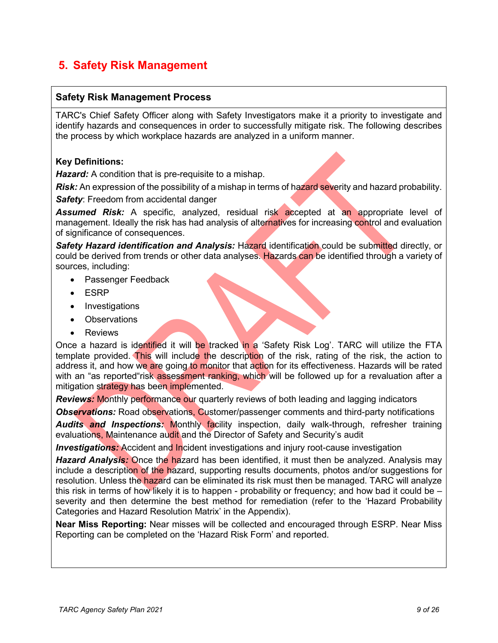### **5. Safety Risk Management**

#### **Safety Risk Management Process**

TARC's Chief Safety Officer along with Safety Investigators make it a priority to investigate and identify hazards and consequences in order to successfully mitigate risk. The following describes the process by which workplace hazards are analyzed in a uniform manner.

#### **Key Definitions:**

*Hazard:* A condition that is pre-requisite to a mishap.

*Risk:* An expression of the possibility of a mishap in terms of hazard severity and hazard probability.

**Safety:** Freedom from accidental danger

*Assumed Risk:* A specific, analyzed, residual risk accepted at an appropriate level of management. Ideally the risk has had analysis of alternatives for increasing control and evaluation of significance of consequences.

*Safety Hazard identification and Analysis:* Hazard identification could be submitted directly, or could be derived from trends or other data analyses. Hazards can be identified through a variety of sources, including:

- Passenger Feedback
- ESRP
- Investigations
- Observations
- **Reviews**

Once a hazard is identified it will be tracked in a 'Safety Risk Log'. TARC will utilize the FTA template provided. This will include the description of the risk, rating of the risk, the action to address it, and how we are going to monitor that action for its effectiveness. Hazards will be rated with an "as reported"risk assessment ranking, which will be followed up for a revaluation after a mitigation strategy has been implemented.

**Reviews:** Monthly performance our quarterly reviews of both leading and lagging indicators

**Observations:** Road observations, Customer/passenger comments and third-party notifications

*Audits and Inspections:* Monthly facility inspection, daily walk-through, refresher training evaluations, Maintenance audit and the Director of Safety and Security's audit

*Investigations:* Accident and Incident investigations and injury root-cause investigation

**Hazard Analysis:** Once the hazard has been identified, it must then be analyzed. Analysis may include a description of the hazard, supporting results documents, photos and/or suggestions for resolution. Unless the hazard can be eliminated its risk must then be managed. TARC will analyze this risk in terms of how likely it is to happen - probability or frequency; and how bad it could be – severity and then determine the best method for remediation (refer to the 'Hazard Probability Categories and Hazard Resolution Matrix' in the Appendix).

**Near Miss Reporting:** Near misses will be collected and encouraged through ESRP. Near Miss Reporting can be completed on the 'Hazard Risk Form' and reported.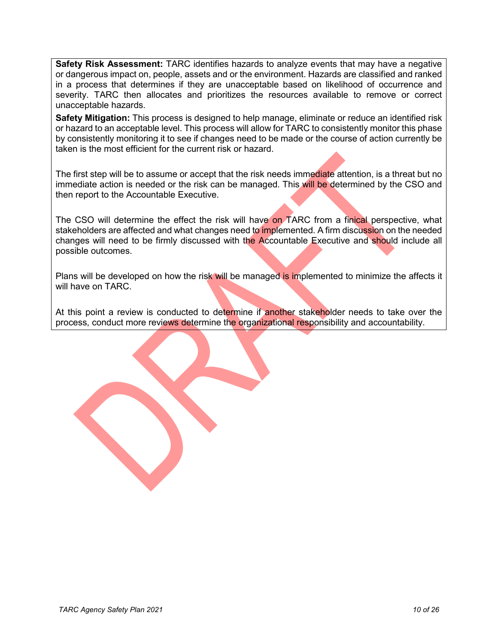**Safety Risk Assessment:** TARC identifies hazards to analyze events that may have a negative or dangerous impact on, people, assets and or the environment. Hazards are classified and ranked in a process that determines if they are unacceptable based on likelihood of occurrence and severity. TARC then allocates and prioritizes the resources available to remove or correct unacceptable hazards.

**Safety Mitigation:** This process is designed to help manage, eliminate or reduce an identified risk or hazard to an acceptable level. This process will allow for TARC to consistently monitor this phase by consistently monitoring it to see if changes need to be made or the course of action currently be taken is the most efficient for the current risk or hazard.

The first step will be to assume or accept that the risk needs immediate attention, is a threat but no immediate action is needed or the risk can be managed. This will be determined by the CSO and then report to the Accountable Executive.

The CSO will determine the effect the risk will have on TARC from a finical perspective, what stakeholders are affected and what changes need to implemented. A firm discussion on the needed changes will need to be firmly discussed with the Accountable Executive and should include all possible outcomes.

Plans will be developed on how the risk will be managed is implemented to minimize the affects it will have on TARC.

At this point a review is conducted to determine if another stakeholder needs to take over the process, conduct more reviews determine the organizational responsibility and accountability.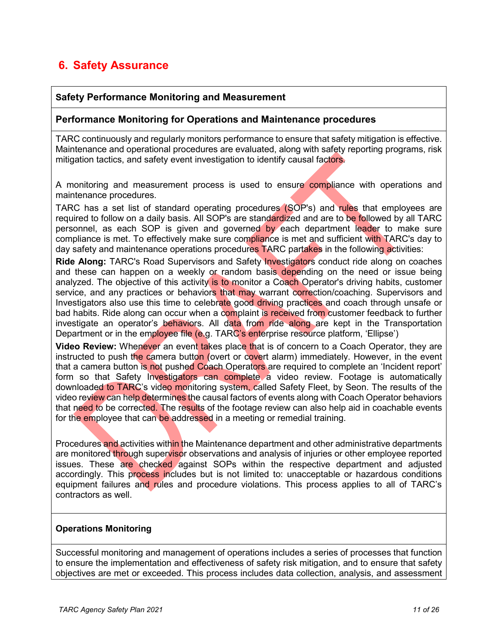### **6. Safety Assurance**

#### **Safety Performance Monitoring and Measurement**

#### **Performance Monitoring for Operations and Maintenance procedures**

TARC continuously and regularly monitors performance to ensure that safety mitigation is effective. Maintenance and operational procedures are evaluated, along with safety reporting programs, risk mitigation tactics, and safety event investigation to identify causal factors.

A monitoring and measurement process is used to ensure compliance with operations and maintenance procedures.

TARC has a set list of standard operating procedures (SOP's) and rules that employees are required to follow on a daily basis. All SOP's are standardized and are to be followed by all TARC personnel, as each SOP is given and governed by each department leader to make sure compliance is met. To effectively make sure compliance is met and sufficient with TARC's day to day safety and maintenance operations procedures TARC partakes in the following activities:

**Ride Along:** TARC's Road Supervisors and Safety Investigators conduct ride along on coaches and these can happen on a weekly or random basis depending on the need or issue being analyzed. The objective of this activity is to monitor a Coach Operator's driving habits, customer service, and any practices or behaviors that may warrant correction/coaching. Supervisors and Investigators also use this time to celebrate good driving practices and coach through unsafe or bad habits. Ride along can occur when a complaint is received from customer feedback to further investigate an operator's behaviors. All data from ride along are kept in the Transportation Department or in the employee file (e.g. TARC's enterprise resource platform, 'Ellipse')

**Video Review:** Whenever an event takes place that is of concern to a Coach Operator, they are instructed to push the camera button (overt or covert alarm) immediately. However, in the event that a camera button is not pushed Coach Operators are required to complete an 'Incident report' form so that Safety Investigators can complete a video review. Footage is automatically downloaded to TARC's video monitoring system, called Safety Fleet, by Seon. The results of the video review can help determines the causal factors of events along with Coach Operator behaviors that need to be corrected. The results of the footage review can also help aid in coachable events for the employee that can be addressed in a meeting or remedial training.

Procedures and activities within the Maintenance department and other administrative departments are monitored through supervisor observations and analysis of injuries or other employee reported issues. These are checked against SOPs within the respective department and adjusted accordingly. This process includes but is not limited to: unacceptable or hazardous conditions equipment failures and rules and procedure violations. This process applies to all of TARC's contractors as well.

#### **Operations Monitoring**

Successful monitoring and management of operations includes a series of processes that function to ensure the implementation and effectiveness of safety risk mitigation, and to ensure that safety objectives are met or exceeded. This process includes data collection, analysis, and assessment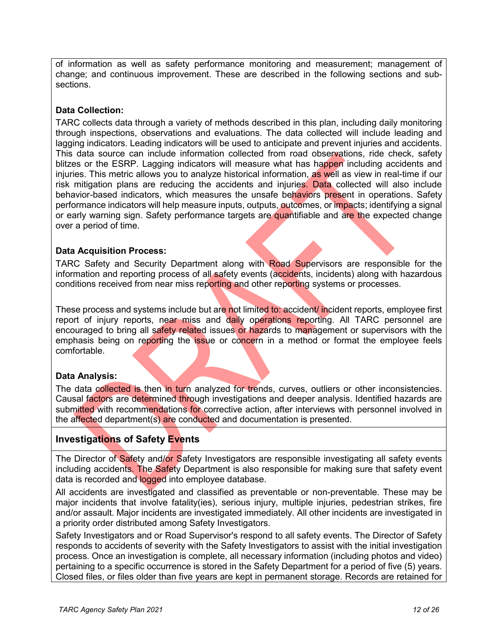of information as well as safety performance monitoring and measurement; management of change; and continuous improvement. These are described in the following sections and subsections.

#### **Data Collection:**

TARC collects data through a variety of methods described in this plan, including daily monitoring through inspections, observations and evaluations. The data collected will include leading and lagging indicators. Leading indicators will be used to anticipate and prevent injuries and accidents. This data source can include information collected from road observations, ride check, safety blitzes or the ESRP. Lagging indicators will measure what has happen including accidents and injuries. This metric allows you to analyze historical information, as well as view in real-time if our risk mitigation plans are reducing the accidents and injuries. Data collected will also include behavior-based indicators, which measures the unsafe behaviors present in operations. Safety performance indicators will help measure inputs, outputs, outcomes, or impacts; identifying a signal or early warning sign. Safety performance targets are quantifiable and are the expected change over a period of time.

#### **Data Acquisition Process:**

TARC Safety and Security Department along with Road Supervisors are responsible for the information and reporting process of all safety events (accidents, incidents) along with hazardous conditions received from near miss reporting and other reporting systems or processes.

These process and systems include but are not limited to: accident/ incident reports, employee first report of injury reports, near miss and daily operations reporting. All TARC personnel are encouraged to bring all safety related issues or hazards to management or supervisors with the emphasis being on reporting the issue or concern in a method or format the employee feels comfortable.

#### **Data Analysis:**

The data collected is then in turn analyzed for trends, curves, outliers or other inconsistencies. Causal factors are determined through investigations and deeper analysis. Identified hazards are submitted with recommendations for corrective action, after interviews with personnel involved in the affected department(s) are conducted and documentation is presented.

#### **Investigations of Safety Events**

The Director of Safety and/or Safety Investigators are responsible investigating all safety events including accidents. The Safety Department is also responsible for making sure that safety event data is recorded and logged into employee database.

All accidents are investigated and classified as preventable or non-preventable. These may be major incidents that involve fatality(ies), serious injury, multiple injuries, pedestrian strikes, fire and/or assault. Major incidents are investigated immediately. All other incidents are investigated in a priority order distributed among Safety Investigators.

Safety Investigators and or Road Supervisor's respond to all safety events. The Director of Safety responds to accidents of severity with the Safety Investigators to assist with the initial investigation process. Once an investigation is complete, all necessary information (including photos and video) pertaining to a specific occurrence is stored in the Safety Department for a period of five (5) years. Closed files, or files older than five years are kept in permanent storage. Records are retained for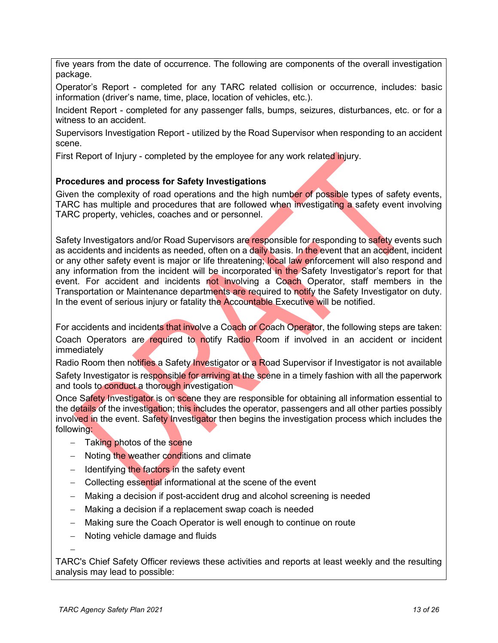five years from the date of occurrence. The following are components of the overall investigation package.

Operator's Report - completed for any TARC related collision or occurrence, includes: basic information (driver's name, time, place, location of vehicles, etc.).

Incident Report - completed for any passenger falls, bumps, seizures, disturbances, etc. or for a witness to an accident.

Supervisors Investigation Report - utilized by the Road Supervisor when responding to an accident scene.

First Report of Injury - completed by the employee for any work related injury.

#### **Procedures and process for Safety Investigations**

Given the complexity of road operations and the high number of possible types of safety events, TARC has multiple and procedures that are followed when investigating a safety event involving TARC property, vehicles, coaches and or personnel.

Safety Investigators and/or Road Supervisors are responsible for responding to safety events such as accidents and incidents as needed, often on a daily basis. In the event that an accident, incident or any other safety event is major or life threatening; local law enforcement will also respond and any information from the incident will be incorporated in the Safety Investigator's report for that event. For accident and incidents not involving a Coach Operator, staff members in the Transportation or Maintenance departments are required to notify the Safety Investigator on duty. In the event of serious injury or fatality the Accountable Executive will be notified.

For accidents and incidents that involve a Coach or Coach Operator, the following steps are taken: Coach Operators are required to notify Radio Room if involved in an accident or incident immediately

Radio Room then notifies a Safety Investigator or a Road Supervisor if Investigator is not available Safety Investigator is responsible for arriving at the scene in a timely fashion with all the paperwork and tools to conduct a thorough investigation

Once Safety Investigator is on scene they are responsible for obtaining all information essential to the details of the investigation; this includes the operator, passengers and all other parties possibly involved in the event. Safety Investigator then begins the investigation process which includes the following:

- − Taking photos of the scene
- − Noting the weather conditions and climate
- − Identifying the factors in the safety event
- − Collecting essential informational at the scene of the event
- − Making a decision if post-accident drug and alcohol screening is needed
- − Making a decision if a replacement swap coach is needed
- − Making sure the Coach Operator is well enough to continue on route
- − Noting vehicle damage and fluids

TARC's Chief Safety Officer reviews these activities and reports at least weekly and the resulting analysis may lead to possible:

−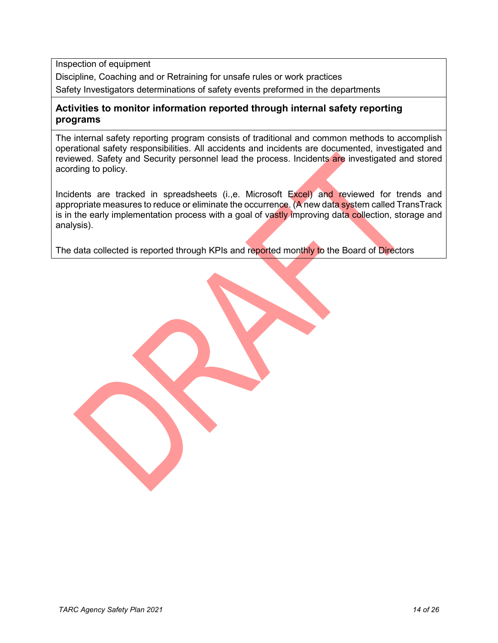Inspection of equipment

Discipline, Coaching and or Retraining for unsafe rules or work practices

Safety Investigators determinations of safety events preformed in the departments

#### **Activities to monitor information reported through internal safety reporting programs**

The internal safety reporting program consists of traditional and common methods to accomplish operational safety responsibilities. All accidents and incidents are documented, investigated and reviewed. Safety and Security personnel lead the process. Incidents are investigated and stored acording to policy.

Incidents are tracked in spreadsheets (i.,e. Microsoft Excel) and reviewed for trends and appropriate measures to reduce or eliminate the occurrence. (A new data system called TransTrack is in the early implementation process with a goal of vastly improving data collection, storage and analysis).

The data collected is reported through KPIs and reported monthly to the Board of Directors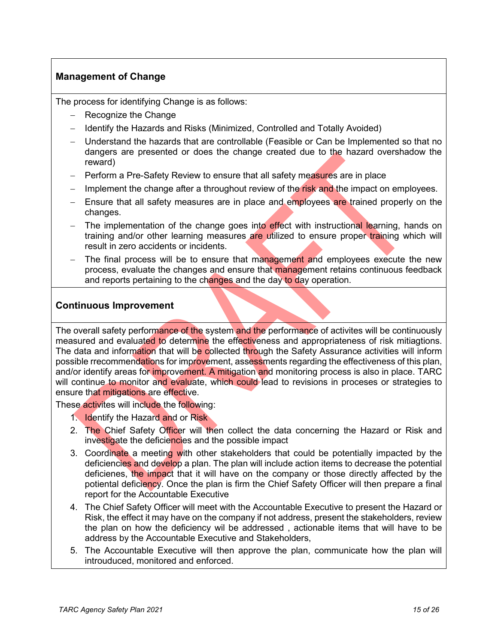#### **Management of Change**

The process for identifying Change is as follows:

- − Recognize the Change
- − Identify the Hazards and Risks (Minimized, Controlled and Totally Avoided)
- − Understand the hazards that are controllable (Feasible or Can be Implemented so that no dangers are presented or does the change created due to the hazard overshadow the reward)
- − Perform a Pre-Safety Review to ensure that all safety measures are in place
- − Implement the change after a throughout review of the risk and the impact on employees.
- − Ensure that all safety measures are in place and employees are trained properly on the changes.
- The implementation of the change goes into effect with instructional learning, hands on training and/or other learning measures are utilized to ensure proper training which will result in zero accidents or incidents.
- The final process will be to ensure that management and employees execute the new process, evaluate the changes and ensure that management retains continuous feedback and reports pertaining to the changes and the day to day operation.

#### **Continuous Improvement**

The overall safety performance of the system and the performance of activites will be continuously measured and evaluated to determine the effectiveness and appropriateness of risk mitiagtions. The data and information that will be collected through the Safety Assurance activities will inform possible rrecommendations for improvement, assessments regarding the effectiveness of this plan, and/or identify areas for improvement. A mitigation and monitoring process is also in place. TARC will continue to monitor and evaluate, which could lead to revisions in proceses or strategies to ensure that mitigations are effective.

These activites will include the following:

- 1. Identify the Hazard and or Risk
- 2. The Chief Safety Officer will then collect the data concerning the Hazard or Risk and investigate the deficiencies and the possible impact
- 3. Coordinate a meeting with other stakeholders that could be potentially impacted by the deficiencies and develop a plan. The plan will include action items to decrease the potential deficienes, the impact that it will have on the company or those directly affected by the potiental deficiency. Once the plan is firm the Chief Safety Officer will then prepare a final report for the Accountable Executive
- 4. The Chief Safety Officer will meet with the Accountable Executive to present the Hazard or Risk, the effect it may have on the company if not address, present the stakeholders, review the plan on how the deficiency wil be addressed , actionable items that will have to be address by the Accountable Executive and Stakeholders,
- 5. The Accountable Executive will then approve the plan, communicate how the plan will introuduced, monitored and enforced.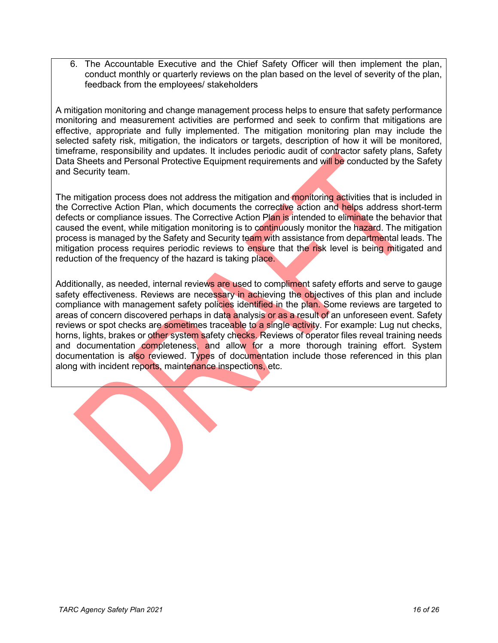6. The Accountable Executive and the Chief Safety Officer will then implement the plan, conduct monthly or quarterly reviews on the plan based on the level of severity of the plan, feedback from the employees/ stakeholders

A mitigation monitoring and change management process helps to ensure that safety performance monitoring and measurement activities are performed and seek to confirm that mitigations are effective, appropriate and fully implemented. The mitigation monitoring plan may include the selected safety risk, mitigation, the indicators or targets, description of how it will be monitored, timeframe, responsibility and updates. It includes periodic audit of contractor safety plans, Safety Data Sheets and Personal Protective Equipment requirements and will be conducted by the Safety and Security team.

The mitigation process does not address the mitigation and monitoring activities that is included in the Corrective Action Plan, which documents the corrective action and helps address short-term defects or compliance issues. The Corrective Action Plan is intended to eliminate the behavior that caused the event, while mitigation monitoring is to continuously monitor the hazard. The mitigation process is managed by the Safety and Security team with assistance from departmental leads. The mitigation process requires periodic reviews to ensure that the risk level is being mitigated and reduction of the frequency of the hazard is taking place.

Additionally, as needed, internal reviews are used to compliment safety efforts and serve to gauge safety effectiveness. Reviews are necessary in achieving the objectives of this plan and include compliance with management safety policies identified in the plan. Some reviews are targeted to areas of concern discovered perhaps in data analysis or as a result of an unforeseen event. Safety reviews or spot checks are sometimes traceable to a single activity. For example: Lug nut checks, horns, lights, brakes or other system safety checks. Reviews of operator files reveal training needs and documentation completeness, and allow for a more thorough training effort. System documentation is also reviewed. Types of documentation include those referenced in this plan along with incident reports, maintenance inspections, etc.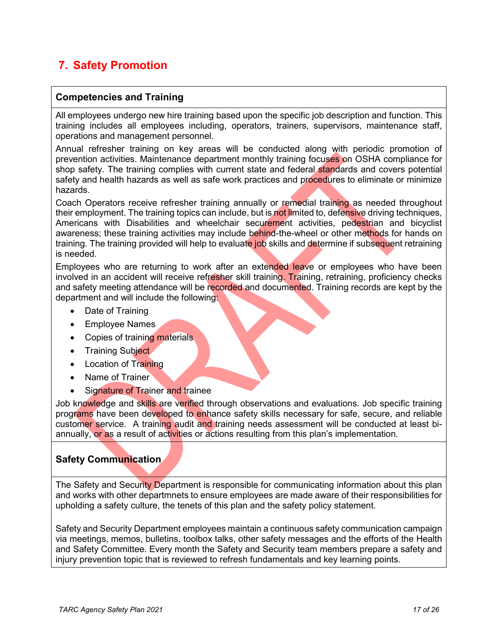### **7. Safety Promotion**

#### **Competencies and Training**

All employees undergo new hire training based upon the specific job description and function. This training includes all employees including, operators, trainers, supervisors, maintenance staff, operations and management personnel.

Annual refresher training on key areas will be conducted along with periodic promotion of prevention activities. Maintenance department monthly training focuses on OSHA compliance for shop safety. The training complies with current state and federal standards and covers potential safety and health hazards as well as safe work practices and procedures to eliminate or minimize hazards.

Coach Operators receive refresher training annually or remedial training as needed throughout their employment. The training topics can include, but is not limited to, defensive driving techniques, Americans with Disabilities and wheelchair securement activities, pedestrian and bicyclist awareness; these training activities may include behind-the-wheel or other methods for hands on training. The training provided will help to evaluate job skills and determine if subsequent retraining is needed.

Employees who are returning to work after an extended leave or employees who have been involved in an accident will receive refresher skill training. Training, retraining, proficiency checks and safety meeting attendance will be recorded and documented. Training records are kept by the department and will include the following:

- Date of Training
- Employee Names
- Copies of training materials
- Training Subject
- Location of Training
- Name of Trainer
- **Signature of Trainer and trainee**

Job knowledge and skills are verified through observations and evaluations. Job specific training programs have been developed to enhance safety skills necessary for safe, secure, and reliable customer service. A training audit and training needs assessment will be conducted at least biannually, or as a result of activities or actions resulting from this plan's implementation.

#### **Safety Communication**

The Safety and Security Department is responsible for communicating information about this plan and works with other departmnets to ensure employees are made aware of their responsibilities for upholding a safety culture, the tenets of this plan and the safety policy statement.

Safety and Security Department employees maintain a continuous safety communication campaign via meetings, memos, bulletins, toolbox talks, other safety messages and the efforts of the Health and Safety Committee. Every month the Safety and Security team members prepare a safety and injury prevention topic that is reviewed to refresh fundamentals and key learning points.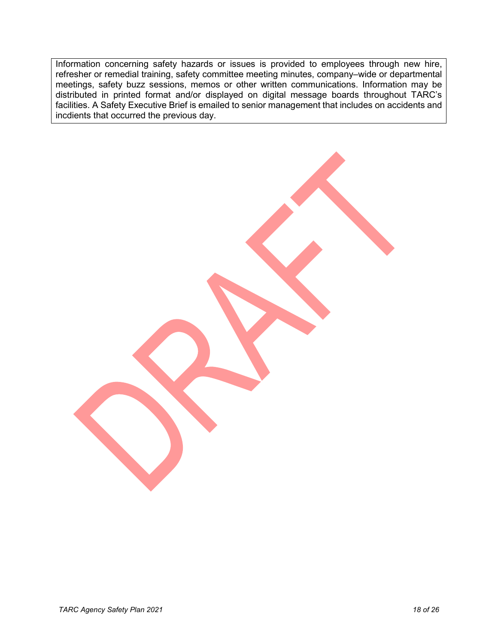Information concerning safety hazards or issues is provided to employees through new hire, refresher or remedial training, safety committee meeting minutes, company–wide or departmental meetings, safety buzz sessions, memos or other written communications. Information may be distributed in printed format and/or displayed on digital message boards throughout TARC's facilities. A Safety Executive Brief is emailed to senior management that includes on accidents and incdients that occurred the previous day.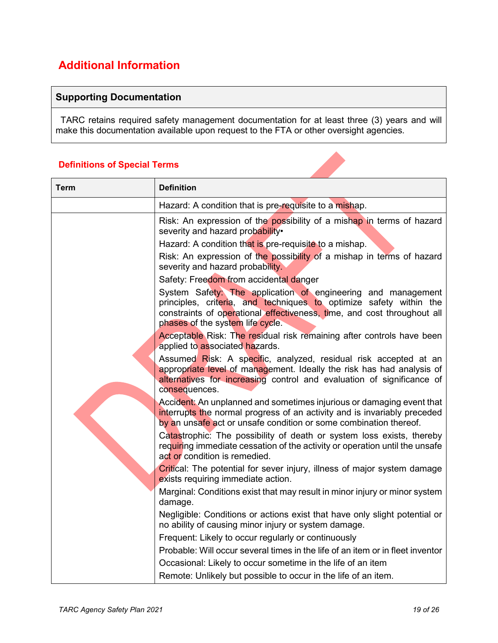## **Additional Information**

#### **Supporting Documentation**

TARC retains required safety management documentation for at least three (3) years and will make this documentation available upon request to the FTA or other oversight agencies.

#### **Definitions of Special Terms**

| Term | <b>Definition</b>                                                                                                                                                                                                                                 |  |  |
|------|---------------------------------------------------------------------------------------------------------------------------------------------------------------------------------------------------------------------------------------------------|--|--|
|      | Hazard: A condition that is pre-requisite to a mishap.                                                                                                                                                                                            |  |  |
|      | Risk: An expression of the possibility of a mishap in terms of hazard<br>severity and hazard probability.<br>Hazard: A condition that is pre-requisite to a mishap.                                                                               |  |  |
|      | Risk: An expression of the possibility of a mishap in terms of hazard<br>severity and hazard probability.                                                                                                                                         |  |  |
|      | Safety: Freedom from accidental danger                                                                                                                                                                                                            |  |  |
|      | System Safety: The application of engineering and management<br>principles, criteria, and techniques to optimize safety within the<br>constraints of operational effectiveness, time, and cost throughout all<br>phases of the system life cycle. |  |  |
|      | Acceptable Risk: The residual risk remaining after controls have been<br>applied to associated hazards.                                                                                                                                           |  |  |
|      | Assumed Risk: A specific, analyzed, residual risk accepted at an<br>appropriate level of management. Ideally the risk has had analysis of<br>alternatives for increasing control and evaluation of significance of<br>consequences.               |  |  |
|      | Accident: An unplanned and sometimes injurious or damaging event that<br>interrupts the normal progress of an activity and is invariably preceded<br>by an unsafe act or unsafe condition or some combination thereof.                            |  |  |
|      | Catastrophic: The possibility of death or system loss exists, thereby<br>requiring immediate cessation of the activity or operation until the unsafe<br>act or condition is remedied.                                                             |  |  |
|      | Critical: The potential for sever injury, illness of major system damage<br>exists requiring immediate action.                                                                                                                                    |  |  |
|      | Marginal: Conditions exist that may result in minor injury or minor system<br>damage.                                                                                                                                                             |  |  |
|      | Negligible: Conditions or actions exist that have only slight potential or<br>no ability of causing minor injury or system damage.                                                                                                                |  |  |
|      | Frequent: Likely to occur regularly or continuously                                                                                                                                                                                               |  |  |
|      | Probable: Will occur several times in the life of an item or in fleet inventor                                                                                                                                                                    |  |  |
|      | Occasional: Likely to occur sometime in the life of an item                                                                                                                                                                                       |  |  |
|      | Remote: Unlikely but possible to occur in the life of an item.                                                                                                                                                                                    |  |  |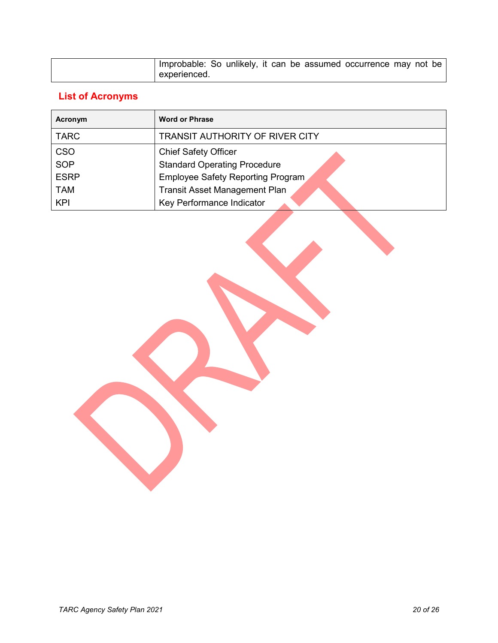| Improbable: So unlikely, it can be assumed occurrence may not be |  |  |  |  |  |
|------------------------------------------------------------------|--|--|--|--|--|
| experienced.                                                     |  |  |  |  |  |

## **List of Acronyms**

| Acronym     | <b>Word or Phrase</b>                  |  |  |  |
|-------------|----------------------------------------|--|--|--|
| <b>TARC</b> | <b>TRANSIT AUTHORITY OF RIVER CITY</b> |  |  |  |
| <b>CSO</b>  | <b>Chief Safety Officer</b>            |  |  |  |
| <b>SOP</b>  | <b>Standard Operating Procedure</b>    |  |  |  |
| <b>ESRP</b> | Employee Safety Reporting Program      |  |  |  |
| <b>TAM</b>  | <b>Transit Asset Management Plan</b>   |  |  |  |
| <b>KPI</b>  | Key Performance Indicator              |  |  |  |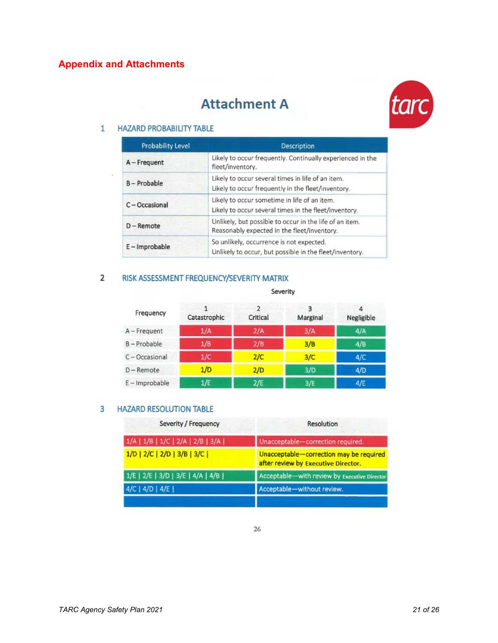## **Attachment A**



#### 1 HAZARD PROBABILITY TABLE

| Probability Level | Description                                                                                             |
|-------------------|---------------------------------------------------------------------------------------------------------|
| A - Frequent      | Likely to occur frequently. Continually experienced in the<br>fleet/inventory.                          |
| B-Probable        | Likely to occur several times in life of an item.<br>Likely to occur frequently in the fleet/inventory. |
| C-Occasional      | Likely to occur sometime in life of an item.<br>Likely to occur several times in the fleet/inventory.   |
| $D -$ Remote      | Unlikely, but possible to occur in the life of an item.<br>Reasonably expected in the fleet/inventory.  |
| E - Improbable    | So unlikely, occurrence is not expected.<br>Unlikely to occur, but possible in the fleet/inventory.     |

#### 2 RISK ASSESSMENT FREQUENCY/SEVERITY MATRIX

#### Severity

| Frequency    | Catastrophic | C.<br>Critical | ٩<br>Marginal | Negligible |
|--------------|--------------|----------------|---------------|------------|
| A - Frequent | 1/A          | 2/A            | 3/A           | 4/A        |
| B-Probable   | 1/B          | 2/B            | 3/B           | 4/B        |
| C-Occasional | 1/C          | 2/C            | 3/C           | 4/C        |
| $D$ – Remote | 1/D          | 2/D            | 3/D           | 4/D        |
| E-Improbable | 1/E          | 2/E            | 3/E           | 4/E        |

#### 3 HAZARD RESOLUTION TABLE

| Severity / Frequency              | <b>Resolution</b>                                                              |
|-----------------------------------|--------------------------------------------------------------------------------|
| 1/A   1/B   1/C   2/A   2/B   3/A | Unacceptable-correction required.                                              |
| 1/D   2/C   2/D   3/B   3/C       | Unacceptable-correction may be required<br>after review by Executive Director. |
| 1/E   2/E   3/D   3/E   4/A   4/B | Acceptable-with review by Executive Director                                   |
| 4/C   4/D   4/E                   | Acceptable-without review.                                                     |
|                                   |                                                                                |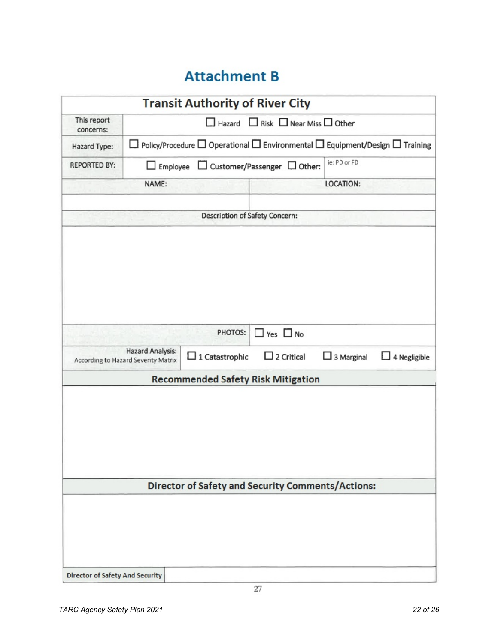## **Attachment B**

|                          |                                                                                                  | <b>Transit Authority of River City</b> |                                                          |                   |                     |  |
|--------------------------|--------------------------------------------------------------------------------------------------|----------------------------------------|----------------------------------------------------------|-------------------|---------------------|--|
| This report<br>concerns: | $\Box$ Hazard $\Box$ Risk $\Box$ Near Miss $\Box$ Other                                          |                                        |                                                          |                   |                     |  |
| Hazard Type:             | Policy/Procedure $\Box$ Operational $\Box$ Environmental $\Box$ Equipment/Design $\Box$ Training |                                        |                                                          |                   |                     |  |
| <b>REPORTED BY:</b>      | $\Box$ Employee                                                                                  |                                        | $\Box$ Customer/Passenger $\Box$ Other:                  | ie: PD or FD      |                     |  |
|                          | NAME:                                                                                            |                                        |                                                          | LOCATION:         |                     |  |
|                          |                                                                                                  | Description of Safety Concern:         |                                                          |                   |                     |  |
|                          |                                                                                                  |                                        |                                                          |                   |                     |  |
|                          |                                                                                                  | PHOTOS:                                | $\Box$ Yes $\Box$ No                                     |                   |                     |  |
|                          | Hazard Analysis:<br>According to Hazard Severity Matrix                                          |                                        | $\Box$ 2 Critical                                        | $\Box$ 3 Marginal | $\Box$ 4 Negligible |  |
|                          |                                                                                                  |                                        | <b>Recommended Safety Risk Mitigation</b>                |                   |                     |  |
|                          |                                                                                                  |                                        |                                                          |                   |                     |  |
|                          |                                                                                                  |                                        | <b>Director of Safety and Security Comments/Actions:</b> |                   |                     |  |
|                          |                                                                                                  |                                        |                                                          |                   |                     |  |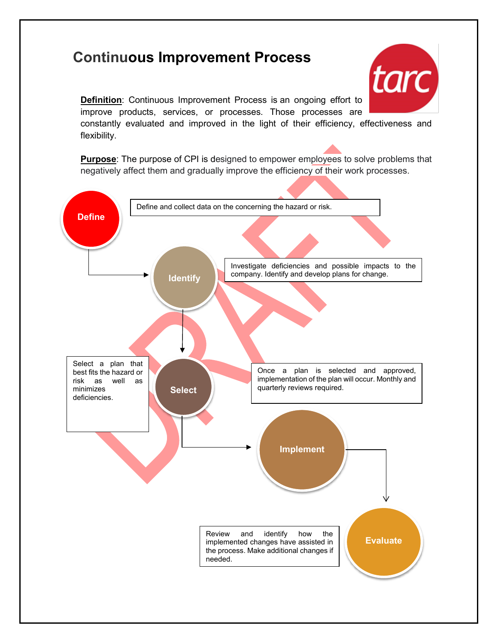## **Continuous Improvement Process**



**Definition**: Continuous Improvement Process is an ongoing effort to improve products, services, or processes. Those processes are constantly evaluated and improved in the light of their efficiency, effectiveness and flexibility.

**Purpose**: The purpose of CPI is designed to empower employees to solve problems that negatively affect them and gradually improve the efficiency of their work processes.

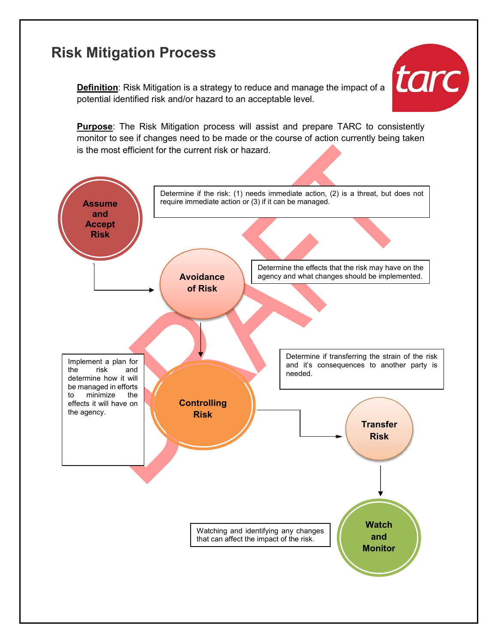## **Risk Mitigation Process**

**Definition**: Risk Mitigation is a strategy to reduce and manage the impact of a potential identified risk and/or hazard to an acceptable level.



**Purpose**: The Risk Mitigation process will assist and prepare TARC to consistently monitor to see if changes need to be made or the course of action currently being taken is the most efficient for the current risk or hazard.

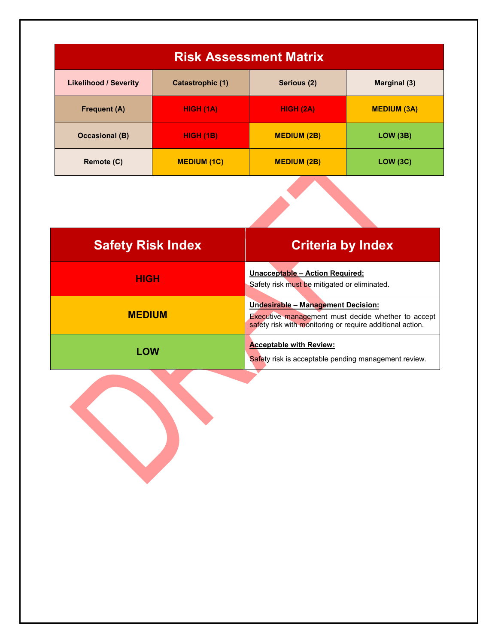| <b>Risk Assessment Matrix</b> |                    |                    |                    |  |  |
|-------------------------------|--------------------|--------------------|--------------------|--|--|
| <b>Likelihood / Severity</b>  | Catastrophic (1)   | Serious (2)        | Marginal (3)       |  |  |
| <b>Frequent (A)</b>           | <b>HIGH (1A)</b>   | HIGH (2A)          | <b>MEDIUM (3A)</b> |  |  |
| <b>Occasional (B)</b>         | <b>HIGH (1B)</b>   | <b>MEDIUM (2B)</b> | LOW (3B)           |  |  |
| Remote (C)                    | <b>MEDIUM (1C)</b> | <b>MEDIUM (2B)</b> | LOW (3C)           |  |  |

| <b>Safety Risk Index</b> | <b>Criteria by Index</b>                                                                                                                                     |
|--------------------------|--------------------------------------------------------------------------------------------------------------------------------------------------------------|
| <b>HIGH</b>              | Unacceptable - Action Required:<br>Safety risk must be mitigated or eliminated.                                                                              |
| <b>MEDIUM</b>            | Undesirable - Management Decision:<br><b>Executive management must decide whether to accept</b><br>safety risk with monitoring or require additional action. |
| <b>LOW</b>               | <b>Acceptable with Review:</b><br>Safety risk is acceptable pending management review.                                                                       |